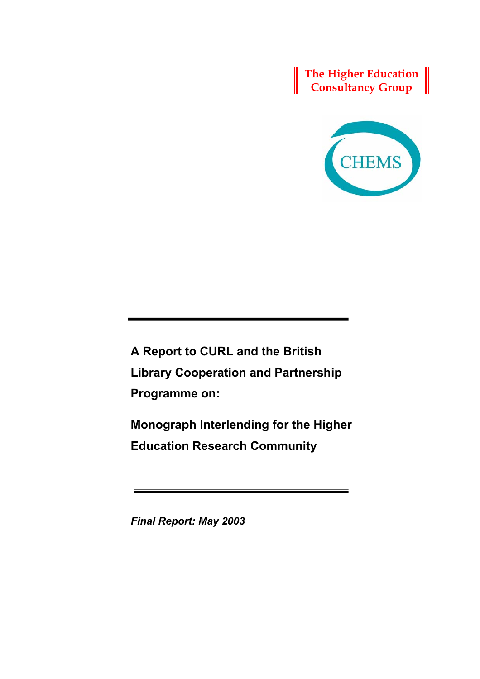# **The Higher Education Consultancy Group**



**A Report to CURL and the British Library Cooperation and Partnership Programme on:** 

**Monograph Interlending for the Higher Education Research Community** 

*Final Report: May 2003*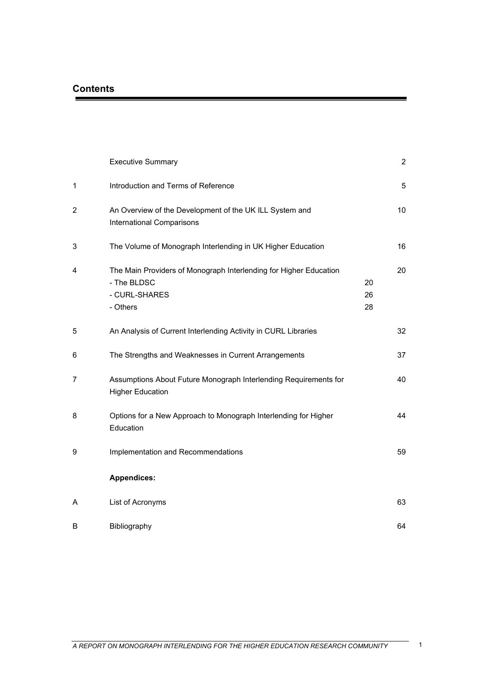# **Contents**

|                | <b>Executive Summary</b>                                                                                      |                | $\overline{2}$ |
|----------------|---------------------------------------------------------------------------------------------------------------|----------------|----------------|
| 1              | Introduction and Terms of Reference                                                                           |                | 5              |
| $\overline{2}$ | An Overview of the Development of the UK ILL System and<br><b>International Comparisons</b>                   |                | 10             |
| 3              | The Volume of Monograph Interlending in UK Higher Education                                                   |                | 16             |
| 4              | The Main Providers of Monograph Interlending for Higher Education<br>- The BLDSC<br>- CURL-SHARES<br>- Others | 20<br>26<br>28 | 20             |
| 5              | An Analysis of Current Interlending Activity in CURL Libraries                                                |                | 32             |
| 6              | The Strengths and Weaknesses in Current Arrangements                                                          |                | 37             |
| 7              | Assumptions About Future Monograph Interlending Requirements for<br><b>Higher Education</b>                   |                | 40             |
| 8              | Options for a New Approach to Monograph Interlending for Higher<br>Education                                  |                | 44             |
| 9              | Implementation and Recommendations                                                                            |                | 59             |
|                | <b>Appendices:</b>                                                                                            |                |                |
| A              | List of Acronyms                                                                                              |                | 63             |
| B              | Bibliography                                                                                                  |                | 64             |

۰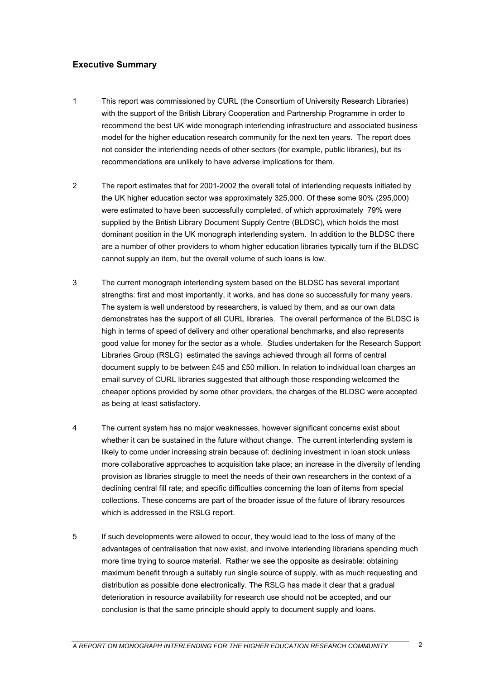# **Executive Summary**

- 1 This report was commissioned by CURL (the Consortium of University Research Libraries) with the support of the British Library Cooperation and Partnership Programme in order to recommend the best UK wide monograph interlending infrastructure and associated business model for the higher education research community for the next ten years. The report does not consider the interlending needs of other sectors (for example, public libraries), but its recommendations are unlikely to have adverse implications for them.
- 2 The report estimates that for 2001-2002 the overall total of interlending requests initiated by the UK higher education sector was approximately 325,000. Of these some 90% (295,000) were estimated to have been successfully completed, of which approximately 79% were supplied by the British Library Document Supply Centre (BLDSC), which holds the most dominant position in the UK monograph interlending system. In addition to the BLDSC there are a number of other providers to whom higher education libraries typically turn if the BLDSC cannot supply an item, but the overall volume of such loans is low.
- 3 The current monograph interlending system based on the BLDSC has several important strengths: first and most importantly, it works, and has done so successfully for many years. The system is well understood by researchers, is valued by them, and as our own data demonstrates has the support of all CURL libraries. The overall performance of the BLDSC is high in terms of speed of delivery and other operational benchmarks, and also represents good value for money for the sector as a whole. Studies undertaken for the Research Support Libraries Group (RSLG) estimated the savings achieved through all forms of central document supply to be between £45 and £50 million. In relation to individual loan charges an email survey of CURL libraries suggested that although those responding welcomed the cheaper options provided by some other providers, the charges of the BLDSC were accepted as being at least satisfactory.
- 4 The current system has no major weaknesses, however significant concerns exist about whether it can be sustained in the future without change. The current interlending system is likely to come under increasing strain because of: declining investment in loan stock unless more collaborative approaches to acquisition take place; an increase in the diversity of lending provision as libraries struggle to meet the needs of their own researchers in the context of a declining central fill rate; and specific difficulties concerning the loan of items from special collections. These concerns are part of the broader issue of the future of library resources which is addressed in the RSLG report.
- 5 If such developments were allowed to occur, they would lead to the loss of many of the advantages of centralisation that now exist, and involve interlending librarians spending much more time trying to source material. Rather we see the opposite as desirable: obtaining maximum benefit through a suitably run single source of supply, with as much requesting and distribution as possible done electronically. The RSLG has made it clear that a gradual deterioration in resource availability for research use should not be accepted, and our conclusion is that the same principle should apply to document supply and loans.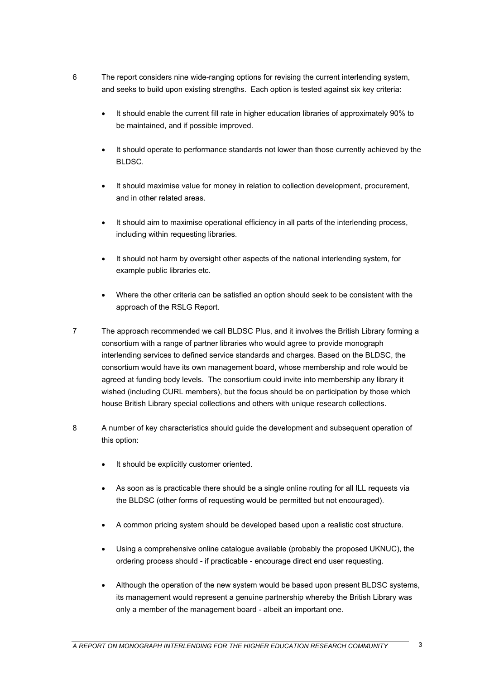- 6 The report considers nine wide-ranging options for revising the current interlending system, and seeks to build upon existing strengths. Each option is tested against six key criteria:
	- It should enable the current fill rate in higher education libraries of approximately 90% to be maintained, and if possible improved.
	- It should operate to performance standards not lower than those currently achieved by the BLDSC.
	- It should maximise value for money in relation to collection development, procurement, and in other related areas.
	- It should aim to maximise operational efficiency in all parts of the interlending process, including within requesting libraries.
	- It should not harm by oversight other aspects of the national interlending system, for example public libraries etc.
	- Where the other criteria can be satisfied an option should seek to be consistent with the approach of the RSLG Report.
- 7 The approach recommended we call BLDSC Plus, and it involves the British Library forming a consortium with a range of partner libraries who would agree to provide monograph interlending services to defined service standards and charges. Based on the BLDSC, the consortium would have its own management board, whose membership and role would be agreed at funding body levels. The consortium could invite into membership any library it wished (including CURL members), but the focus should be on participation by those which house British Library special collections and others with unique research collections.
- 8 A number of key characteristics should guide the development and subsequent operation of this option:
	- It should be explicitly customer oriented.
	- As soon as is practicable there should be a single online routing for all ILL requests via the BLDSC (other forms of requesting would be permitted but not encouraged).
	- A common pricing system should be developed based upon a realistic cost structure.
	- Using a comprehensive online catalogue available (probably the proposed UKNUC), the ordering process should - if practicable - encourage direct end user requesting.
	- Although the operation of the new system would be based upon present BLDSC systems, its management would represent a genuine partnership whereby the British Library was only a member of the management board - albeit an important one.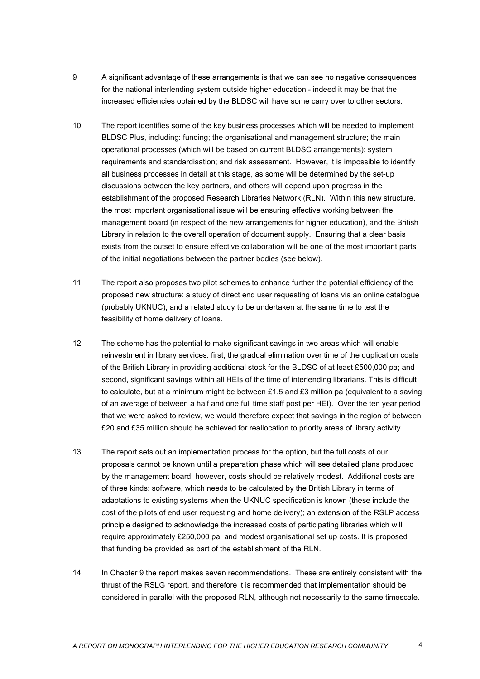- 9 A significant advantage of these arrangements is that we can see no negative consequences for the national interlending system outside higher education - indeed it may be that the increased efficiencies obtained by the BLDSC will have some carry over to other sectors.
- 10 The report identifies some of the key business processes which will be needed to implement BLDSC Plus, including: funding; the organisational and management structure; the main operational processes (which will be based on current BLDSC arrangements); system requirements and standardisation; and risk assessment. However, it is impossible to identify all business processes in detail at this stage, as some will be determined by the set-up discussions between the key partners, and others will depend upon progress in the establishment of the proposed Research Libraries Network (RLN). Within this new structure, the most important organisational issue will be ensuring effective working between the management board (in respect of the new arrangements for higher education), and the British Library in relation to the overall operation of document supply. Ensuring that a clear basis exists from the outset to ensure effective collaboration will be one of the most important parts of the initial negotiations between the partner bodies (see below).
- 11 The report also proposes two pilot schemes to enhance further the potential efficiency of the proposed new structure: a study of direct end user requesting of loans via an online catalogue (probably UKNUC), and a related study to be undertaken at the same time to test the feasibility of home delivery of loans.
- 12 The scheme has the potential to make significant savings in two areas which will enable reinvestment in library services: first, the gradual elimination over time of the duplication costs of the British Library in providing additional stock for the BLDSC of at least £500,000 pa; and second, significant savings within all HEIs of the time of interlending librarians. This is difficult to calculate, but at a minimum might be between £1.5 and £3 million pa (equivalent to a saving of an average of between a half and one full time staff post per HEI). Over the ten year period that we were asked to review, we would therefore expect that savings in the region of between £20 and £35 million should be achieved for reallocation to priority areas of library activity.
- 13 The report sets out an implementation process for the option, but the full costs of our proposals cannot be known until a preparation phase which will see detailed plans produced by the management board; however, costs should be relatively modest. Additional costs are of three kinds: software, which needs to be calculated by the British Library in terms of adaptations to existing systems when the UKNUC specification is known (these include the cost of the pilots of end user requesting and home delivery); an extension of the RSLP access principle designed to acknowledge the increased costs of participating libraries which will require approximately £250,000 pa; and modest organisational set up costs. It is proposed that funding be provided as part of the establishment of the RLN.
- 14 In Chapter 9 the report makes seven recommendations. These are entirely consistent with the thrust of the RSLG report, and therefore it is recommended that implementation should be considered in parallel with the proposed RLN, although not necessarily to the same timescale.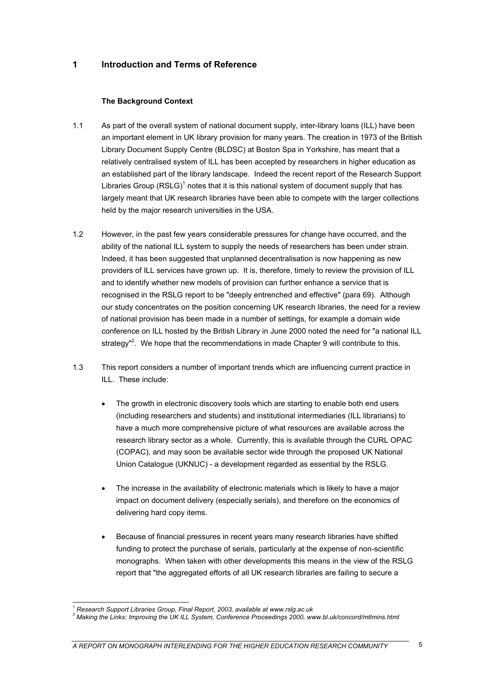# **1 Introduction and Terms of Reference**

## **The Background Context**

- 1.1 As part of the overall system of national document supply, inter-library loans (ILL) have been an important element in UK library provision for many years. The creation in 1973 of the British Library Document Supply Centre (BLDSC) at Boston Spa in Yorkshire, has meant that a relatively centralised system of ILL has been accepted by researchers in higher education as an established part of the library landscape. Indeed the recent report of the Research Support Libraries Group (RSLG)<sup>[1](#page-5-0)</sup> notes that it is this national system of document supply that has largely meant that UK research libraries have been able to compete with the larger collections held by the major research universities in the USA.
- 1.2 However, in the past few years considerable pressures for change have occurred, and the ability of the national ILL system to supply the needs of researchers has been under strain. Indeed, it has been suggested that unplanned decentralisation is now happening as new providers of ILL services have grown up. It is, therefore, timely to review the provision of ILL and to identify whether new models of provision can further enhance a service that is recognised in the RSLG report to be "deeply entrenched and effective" (para 69). Although our study concentrates on the position concerning UK research libraries, the need for a review of national provision has been made in a number of settings, for example a domain wide conference on ILL hosted by the British Library in June 2000 noted the need for "a national ILL strategy"<sup>[2](#page-5-1)</sup>. We hope that the recommendations in made Chapter 9 will contribute to this.
- 1.3 This report considers a number of important trends which are influencing current practice in ILL. These include:
	- The growth in electronic discovery tools which are starting to enable both end users (including researchers and students) and institutional intermediaries (ILL librarians) to have a much more comprehensive picture of what resources are available across the research library sector as a whole. Currently, this is available through the CURL OPAC (COPAC), and may soon be available sector wide through the proposed UK National Union Catalogue (UKNUC) - a development regarded as essential by the RSLG.
	- The increase in the availability of electronic materials which is likely to have a major impact on document delivery (especially serials), and therefore on the economics of delivering hard copy items.
	- Because of financial pressures in recent years many research libraries have shifted funding to protect the purchase of serials, particularly at the expense of non-scientific monographs. When taken with other developments this means in the view of the RSLG report that "the aggregated efforts of all UK research libraries are failing to secure a

*1 Research Support Libraries Group, Final Report, 2003, available at www.rslg.ac.uk <sup>2</sup>*

<span id="page-5-1"></span><span id="page-5-0"></span>*Making the Links: Improving the UK ILL System, Conference Proceedings 2000, www.bl.uk/concord/mtlmins.html*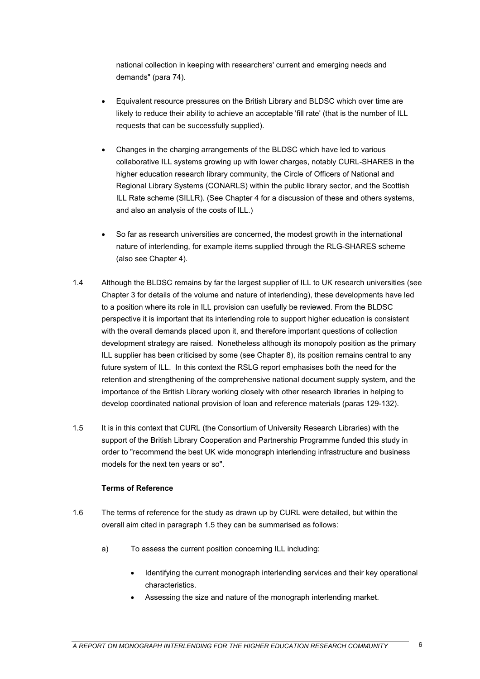national collection in keeping with researchers' current and emerging needs and demands" (para 74).

- Equivalent resource pressures on the British Library and BLDSC which over time are likely to reduce their ability to achieve an acceptable 'fill rate' (that is the number of ILL requests that can be successfully supplied).
- Changes in the charging arrangements of the BLDSC which have led to various collaborative ILL systems growing up with lower charges, notably CURL-SHARES in the higher education research library community, the Circle of Officers of National and Regional Library Systems (CONARLS) within the public library sector, and the Scottish ILL Rate scheme (SILLR). (See Chapter 4 for a discussion of these and others systems, and also an analysis of the costs of ILL.)
- So far as research universities are concerned, the modest growth in the international nature of interlending, for example items supplied through the RLG-SHARES scheme (also see Chapter 4).
- 1.4 Although the BLDSC remains by far the largest supplier of ILL to UK research universities (see Chapter 3 for details of the volume and nature of interlending), these developments have led to a position where its role in ILL provision can usefully be reviewed. From the BLDSC perspective it is important that its interlending role to support higher education is consistent with the overall demands placed upon it, and therefore important questions of collection development strategy are raised. Nonetheless although its monopoly position as the primary ILL supplier has been criticised by some (see Chapter 8), its position remains central to any future system of ILL. In this context the RSLG report emphasises both the need for the retention and strengthening of the comprehensive national document supply system, and the importance of the British Library working closely with other research libraries in helping to develop coordinated national provision of loan and reference materials (paras 129-132).
- 1.5 It is in this context that CURL (the Consortium of University Research Libraries) with the support of the British Library Cooperation and Partnership Programme funded this study in order to "recommend the best UK wide monograph interlending infrastructure and business models for the next ten years or so".

#### **Terms of Reference**

- 1.6 The terms of reference for the study as drawn up by CURL were detailed, but within the overall aim cited in paragraph 1.5 they can be summarised as follows:
	- a) To assess the current position concerning ILL including:
		- Identifying the current monograph interlending services and their key operational characteristics.
		- Assessing the size and nature of the monograph interlending market.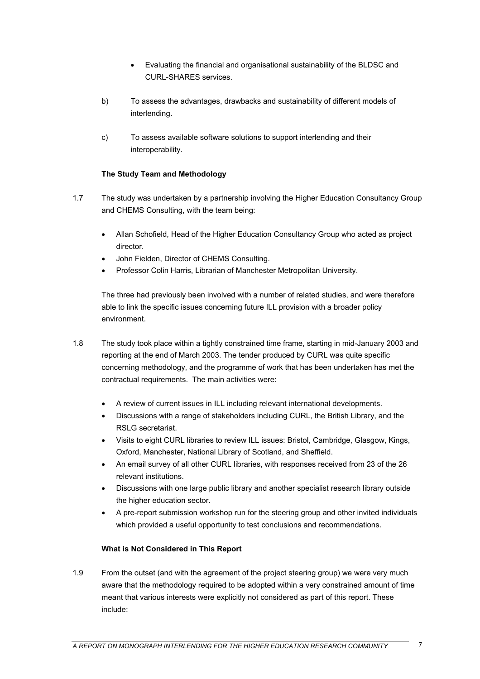- Evaluating the financial and organisational sustainability of the BLDSC and CURL-SHARES services.
- b) To assess the advantages, drawbacks and sustainability of different models of interlending.
- c) To assess available software solutions to support interlending and their interoperability.

## **The Study Team and Methodology**

- 1.7 The study was undertaken by a partnership involving the Higher Education Consultancy Group and CHEMS Consulting, with the team being:
	- Allan Schofield, Head of the Higher Education Consultancy Group who acted as project director.
	- John Fielden, Director of CHEMS Consulting.
	- Professor Colin Harris, Librarian of Manchester Metropolitan University.

The three had previously been involved with a number of related studies, and were therefore able to link the specific issues concerning future ILL provision with a broader policy environment.

- 1.8 The study took place within a tightly constrained time frame, starting in mid-January 2003 and reporting at the end of March 2003. The tender produced by CURL was quite specific concerning methodology, and the programme of work that has been undertaken has met the contractual requirements. The main activities were:
	- A review of current issues in ILL including relevant international developments.
	- Discussions with a range of stakeholders including CURL, the British Library, and the RSLG secretariat.
	- Visits to eight CURL libraries to review ILL issues: Bristol, Cambridge, Glasgow, Kings, Oxford, Manchester, National Library of Scotland, and Sheffield.
	- An email survey of all other CURL libraries, with responses received from 23 of the 26 relevant institutions.
	- Discussions with one large public library and another specialist research library outside the higher education sector.
	- A pre-report submission workshop run for the steering group and other invited individuals which provided a useful opportunity to test conclusions and recommendations.

### **What is Not Considered in This Report**

1.9 From the outset (and with the agreement of the project steering group) we were very much aware that the methodology required to be adopted within a very constrained amount of time meant that various interests were explicitly not considered as part of this report. These include: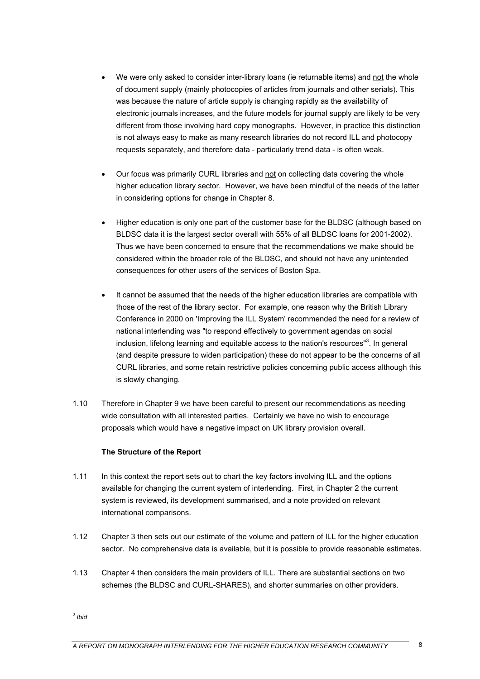- We were only asked to consider inter-library loans (ie returnable items) and not the whole of document supply (mainly photocopies of articles from journals and other serials). This was because the nature of article supply is changing rapidly as the availability of electronic journals increases, and the future models for journal supply are likely to be very different from those involving hard copy monographs. However, in practice this distinction is not always easy to make as many research libraries do not record ILL and photocopy requests separately, and therefore data - particularly trend data - is often weak.
- Our focus was primarily CURL libraries and not on collecting data covering the whole higher education library sector. However, we have been mindful of the needs of the latter in considering options for change in Chapter 8.
- Higher education is only one part of the customer base for the BLDSC (although based on BLDSC data it is the largest sector overall with 55% of all BLDSC loans for 2001-2002). Thus we have been concerned to ensure that the recommendations we make should be considered within the broader role of the BLDSC, and should not have any unintended consequences for other users of the services of Boston Spa.
- It cannot be assumed that the needs of the higher education libraries are compatible with those of the rest of the library sector. For example, one reason why the British Library Conference in 2000 on 'Improving the ILL System' recommended the need for a review of national interlending was "to respond effectively to government agendas on social inclusion, lifelong learning and equitable access to the nation's resources"<sup>[3](#page-8-0)</sup>. In general (and despite pressure to widen participation) these do not appear to be the concerns of all CURL libraries, and some retain restrictive policies concerning public access although this is slowly changing.
- 1.10 Therefore in Chapter 9 we have been careful to present our recommendations as needing wide consultation with all interested parties. Certainly we have no wish to encourage proposals which would have a negative impact on UK library provision overall.

# **The Structure of the Report**

- 1.11 In this context the report sets out to chart the key factors involving ILL and the options available for changing the current system of interlending. First, in Chapter 2 the current system is reviewed, its development summarised, and a note provided on relevant international comparisons.
- 1.12 Chapter 3 then sets out our estimate of the volume and pattern of ILL for the higher education sector. No comprehensive data is available, but it is possible to provide reasonable estimates.
- 1.13 Chapter 4 then considers the main providers of ILL. There are substantial sections on two schemes (the BLDSC and CURL-SHARES), and shorter summaries on other providers.

<span id="page-8-0"></span>*3 Ibid*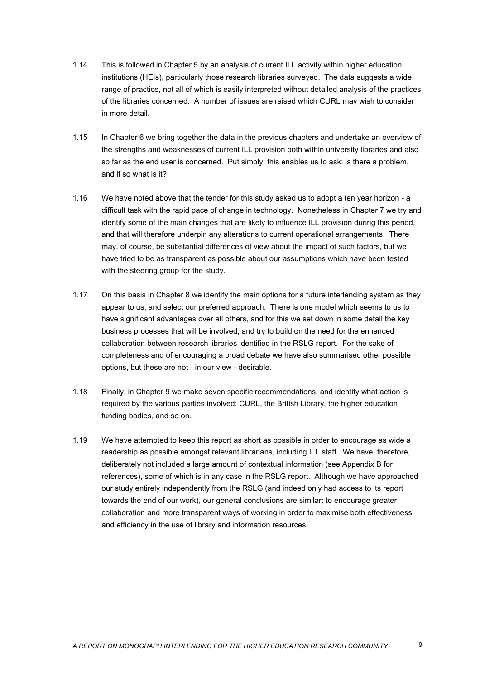- 1.14 This is followed in Chapter 5 by an analysis of current ILL activity within higher education institutions (HEIs), particularly those research libraries surveyed. The data suggests a wide range of practice, not all of which is easily interpreted without detailed analysis of the practices of the libraries concerned. A number of issues are raised which CURL may wish to consider in more detail.
- 1.15 In Chapter 6 we bring together the data in the previous chapters and undertake an overview of the strengths and weaknesses of current ILL provision both within university libraries and also so far as the end user is concerned. Put simply, this enables us to ask: is there a problem, and if so what is it?
- 1.16 We have noted above that the tender for this study asked us to adopt a ten year horizon a difficult task with the rapid pace of change in technology. Nonetheless in Chapter 7 we try and identify some of the main changes that are likely to influence ILL provision during this period, and that will therefore underpin any alterations to current operational arrangements. There may, of course, be substantial differences of view about the impact of such factors, but we have tried to be as transparent as possible about our assumptions which have been tested with the steering group for the study.
- 1.17 On this basis in Chapter 8 we identify the main options for a future interlending system as they appear to us, and select our preferred approach. There is one model which seems to us to have significant advantages over all others, and for this we set down in some detail the key business processes that will be involved, and try to build on the need for the enhanced collaboration between research libraries identified in the RSLG report. For the sake of completeness and of encouraging a broad debate we have also summarised other possible options, but these are not - in our view - desirable.
- 1.18 Finally, in Chapter 9 we make seven specific recommendations, and identify what action is required by the various parties involved: CURL, the British Library, the higher education funding bodies, and so on.
- 1.19 We have attempted to keep this report as short as possible in order to encourage as wide a readership as possible amongst relevant librarians, including ILL staff. We have, therefore, deliberately not included a large amount of contextual information (see Appendix B for references), some of which is in any case in the RSLG report. Although we have approached our study entirely independently from the RSLG (and indeed only had access to its report towards the end of our work), our general conclusions are similar: to encourage greater collaboration and more transparent ways of working in order to maximise both effectiveness and efficiency in the use of library and information resources.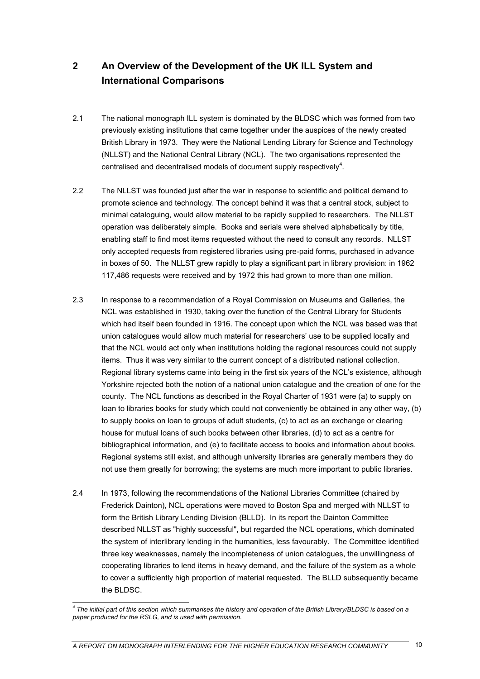# **2 An Overview of the Development of the UK ILL System and International Comparisons**

- 2.1 The national monograph ILL system is dominated by the BLDSC which was formed from two previously existing institutions that came together under the auspices of the newly created British Library in 1973. They were the National Lending Library for Science and Technology (NLLST) and the National Central Library (NCL). The two organisations represented the centralised and decentralised models of document supply respectively<sup>[4](#page-10-0)</sup>.
- 2.2 The NLLST was founded just after the war in response to scientific and political demand to promote science and technology. The concept behind it was that a central stock, subject to minimal cataloguing, would allow material to be rapidly supplied to researchers. The NLLST operation was deliberately simple. Books and serials were shelved alphabetically by title, enabling staff to find most items requested without the need to consult any records. NLLST only accepted requests from registered libraries using pre-paid forms, purchased in advance in boxes of 50. The NLLST grew rapidly to play a significant part in library provision: in 1962 117,486 requests were received and by 1972 this had grown to more than one million.
- 2.3 In response to a recommendation of a Royal Commission on Museums and Galleries, the NCL was established in 1930, taking over the function of the Central Library for Students which had itself been founded in 1916. The concept upon which the NCL was based was that union catalogues would allow much material for researchers' use to be supplied locally and that the NCL would act only when institutions holding the regional resources could not supply items. Thus it was very similar to the current concept of a distributed national collection. Regional library systems came into being in the first six years of the NCL's existence, although Yorkshire rejected both the notion of a national union catalogue and the creation of one for the county. The NCL functions as described in the Royal Charter of 1931 were (a) to supply on loan to libraries books for study which could not conveniently be obtained in any other way, (b) to supply books on loan to groups of adult students, (c) to act as an exchange or clearing house for mutual loans of such books between other libraries, (d) to act as a centre for bibliographical information, and (e) to facilitate access to books and information about books. Regional systems still exist, and although university libraries are generally members they do not use them greatly for borrowing; the systems are much more important to public libraries.
- 2.4 In 1973, following the recommendations of the National Libraries Committee (chaired by Frederick Dainton), NCL operations were moved to Boston Spa and merged with NLLST to form the British Library Lending Division (BLLD). In its report the Dainton Committee described NLLST as "highly successful", but regarded the NCL operations, which dominated the system of interlibrary lending in the humanities, less favourably. The Committee identified three key weaknesses, namely the incompleteness of union catalogues, the unwillingness of cooperating libraries to lend items in heavy demand, and the failure of the system as a whole to cover a sufficiently high proportion of material requested. The BLLD subsequently became the BLDSC.

<span id="page-10-0"></span>*4 The initial part of this section which summarises the history and operation of the British Library/BLDSC is based on a paper produced for the RSLG, and is used with permission.*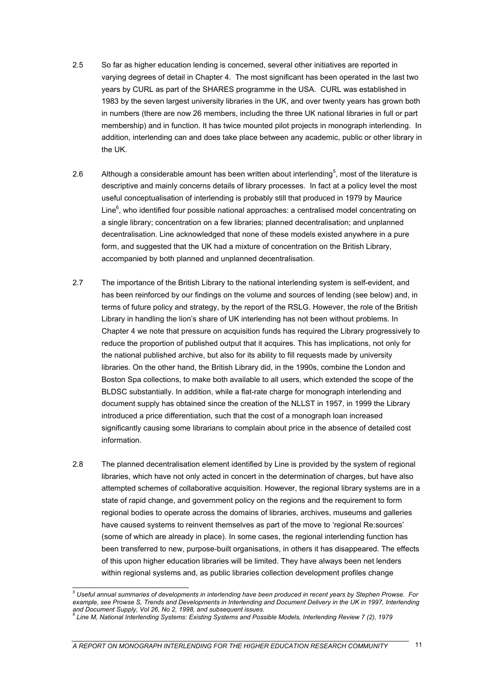- 2.5 So far as higher education lending is concerned, several other initiatives are reported in varying degrees of detail in Chapter 4. The most significant has been operated in the last two years by CURL as part of the SHARES programme in the USA. CURL was established in 1983 by the seven largest university libraries in the UK, and over twenty years has grown both in numbers (there are now 26 members, including the three UK national libraries in full or part membership) and in function. It has twice mounted pilot projects in monograph interlending. In addition, interlending can and does take place between any academic, public or other library in the UK.
- 2.6 Although a considerable amount has been written about interlending<sup>[5](#page-11-0)</sup>, most of the literature is descriptive and mainly concerns details of library processes. In fact at a policy level the most useful conceptualisation of interlending is probably still that produced in 1979 by Maurice Line $^6$  $^6$ , who identified four possible national approaches: a centralised model concentrating on a single library; concentration on a few libraries; planned decentralisation; and unplanned decentralisation. Line acknowledged that none of these models existed anywhere in a pure form, and suggested that the UK had a mixture of concentration on the British Library, accompanied by both planned and unplanned decentralisation.
- 2.7 The importance of the British Library to the national interlending system is self-evident, and has been reinforced by our findings on the volume and sources of lending (see below) and, in terms of future policy and strategy, by the report of the RSLG. However, the role of the British Library in handling the lion's share of UK interlending has not been without problems. In Chapter 4 we note that pressure on acquisition funds has required the Library progressively to reduce the proportion of published output that it acquires. This has implications, not only for the national published archive, but also for its ability to fill requests made by university libraries. On the other hand, the British Library did, in the 1990s, combine the London and Boston Spa collections, to make both available to all users, which extended the scope of the BLDSC substantially. In addition, while a flat-rate charge for monograph interlending and document supply has obtained since the creation of the NLLST in 1957, in 1999 the Library introduced a price differentiation, such that the cost of a monograph loan increased significantly causing some librarians to complain about price in the absence of detailed cost information.
- 2.8 The planned decentralisation element identified by Line is provided by the system of regional libraries, which have not only acted in concert in the determination of charges, but have also attempted schemes of collaborative acquisition. However, the regional library systems are in a state of rapid change, and government policy on the regions and the requirement to form regional bodies to operate across the domains of libraries, archives, museums and galleries have caused systems to reinvent themselves as part of the move to 'regional Re:sources' (some of which are already in place). In some cases, the regional interlending function has been transferred to new, purpose-built organisations, in others it has disappeared. The effects of this upon higher education libraries will be limited. They have always been net lenders within regional systems and, as public libraries collection development profiles change

<span id="page-11-0"></span>*5 Useful annual summaries of developments in interlending have been produced in recent years by Stephen Prowse. For*  example, see Prowse S, Trends and Developments in Interlending and Document Delivery in the UK in 1997, Interlending and Document Supply, Vol 26, No 2, 1998, and subsequent issues.<br><sup>6</sup> Line M, National Interlending Systems: Existing Systems and Possible Models, Interlending Review 7 (2), 1979

<span id="page-11-1"></span>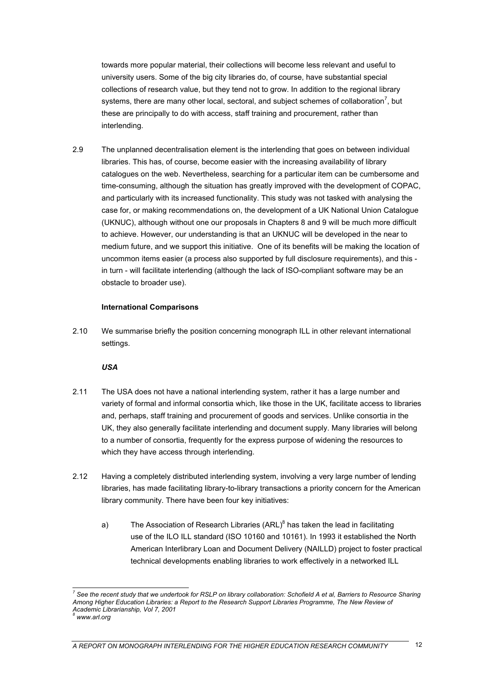towards more popular material, their collections will become less relevant and useful to university users. Some of the big city libraries do, of course, have substantial special collections of research value, but they tend not to grow. In addition to the regional library systems, there are many other local, sectoral, and subject schemes of collaboration<sup>[7](#page-12-0)</sup>, but these are principally to do with access, staff training and procurement, rather than interlending.

2.9 The unplanned decentralisation element is the interlending that goes on between individual libraries. This has, of course, become easier with the increasing availability of library catalogues on the web. Nevertheless, searching for a particular item can be cumbersome and time-consuming, although the situation has greatly improved with the development of COPAC, and particularly with its increased functionality. This study was not tasked with analysing the case for, or making recommendations on, the development of a UK National Union Catalogue (UKNUC), although without one our proposals in Chapters 8 and 9 will be much more difficult to achieve. However, our understanding is that an UKNUC will be developed in the near to medium future, and we support this initiative. One of its benefits will be making the location of uncommon items easier (a process also supported by full disclosure requirements), and this in turn - will facilitate interlending (although the lack of ISO-compliant software may be an obstacle to broader use).

#### **International Comparisons**

2.10 We summarise briefly the position concerning monograph ILL in other relevant international settings.

#### *USA*

- 2.11 The USA does not have a national interlending system, rather it has a large number and variety of formal and informal consortia which, like those in the UK, facilitate access to libraries and, perhaps, staff training and procurement of goods and services. Unlike consortia in the UK, they also generally facilitate interlending and document supply. Many libraries will belong to a number of consortia, frequently for the express purpose of widening the resources to which they have access through interlending.
- 2.12 Having a completely distributed interlending system, involving a very large number of lending libraries, has made facilitating library-to-library transactions a priority concern for the American library community. There have been four key initiatives:
	- a) The Association of Research Libraries  $(ARL)^8$  $(ARL)^8$  has taken the lead in facilitating use of the ILO ILL standard (ISO 10160 and 10161). In 1993 it established the North American Interlibrary Loan and Document Delivery (NAILLD) project to foster practical technical developments enabling libraries to work effectively in a networked ILL

<span id="page-12-0"></span>*7* <sup>7</sup> See the recent study that we undertook for RSLP on library collaboration: Schofield A et al, Barriers to Resource Sharing *Among Higher Education Libraries: a Report to the Research Support Libraries Programme, The New Review of*  Academic Librarianship, Vol 7, 2001

<span id="page-12-1"></span>*www.arl.org*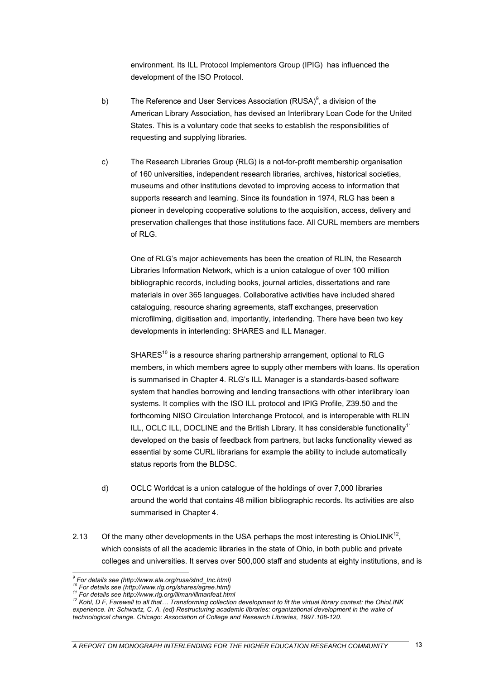environment. Its ILL Protocol Implementors Group (IPIG) has influenced the development of the ISO Protocol.

- b) The Reference and User Services Association (RUSA) $9$ , a division of the American Library Association, has devised an Interlibrary Loan Code for the United States. This is a voluntary code that seeks to establish the responsibilities of requesting and supplying libraries.
- c) The Research Libraries Group (RLG) is a not-for-profit membership organisation of 160 universities, independent research libraries, archives, historical societies, museums and other institutions devoted to improving access to information that supports research and learning. Since its foundation in 1974, RLG has been a pioneer in developing cooperative solutions to the acquisition, access, delivery and preservation challenges that those institutions face. All CURL members are members of RLG.

One of RLG's major achievements has been the creation of RLIN, the Research Libraries Information Network, which is a union catalogue of over 100 million bibliographic records, including books, journal articles, dissertations and rare materials in over 365 languages. Collaborative activities have included shared cataloguing, resource sharing agreements, staff exchanges, preservation microfilming, digitisation and, importantly, interlending. There have been two key developments in interlending: SHARES and ILL Manager.

SHARES<sup>10</sup> is a resource sharing partnership arrangement, optional to RLG members, in which members agree to supply other members with loans. Its operation is summarised in Chapter 4. RLG's ILL Manager is a standards-based software system that handles borrowing and lending transactions with other interlibrary loan systems. It complies with the ISO ILL protocol and IPIG Profile, Z39.50 and the forthcoming NISO Circulation Interchange Protocol, and is interoperable with RLIN ILL, OCLC ILL, DOCLINE and the British Library. It has considerable functionality<sup>[11](#page-13-2)</sup> developed on the basis of feedback from partners, but lacks functionality viewed as essential by some CURL librarians for example the ability to include automatically status reports from the BLDSC.

- d) OCLC Worldcat is a union catalogue of the holdings of over 7,000 libraries around the world that contains 48 million bibliographic records. Its activities are also summarised in Chapter 4.
- 2.13 Of the many other developments in the USA perhaps the most interesting is OhioLINK<sup>12</sup>. which consists of all the academic libraries in the state of Ohio, in both public and private colleges and universities. It serves over 500,000 staff and students at eighty institutions, and is

*9*

<span id="page-13-1"></span>

<span id="page-13-3"></span><span id="page-13-2"></span>

<span id="page-13-0"></span><sup>&</sup>lt;sup>9</sup> For details see [\(http://www.ala.org/rusa/stnd\\_Inc.htm](http://www.ala.org/rusa/stnd_Inc.html)[l](http://www.rlg.org/shares/agree.html))<br><sup>10</sup> For details see (http://www.rlg.org/shares/agree.html)<br><sup>11</sup> For details see http://www.rlg.org/illman/illmanfeat.html<br><sup>12</sup> Kohl, D F, Farewell to all that… T *experience. In: Schwartz, C. A. (ed) Restructuring academic libraries: organizational development in the wake of technological change. Chicago: Association of College and Research Libraries, 1997.108-120.*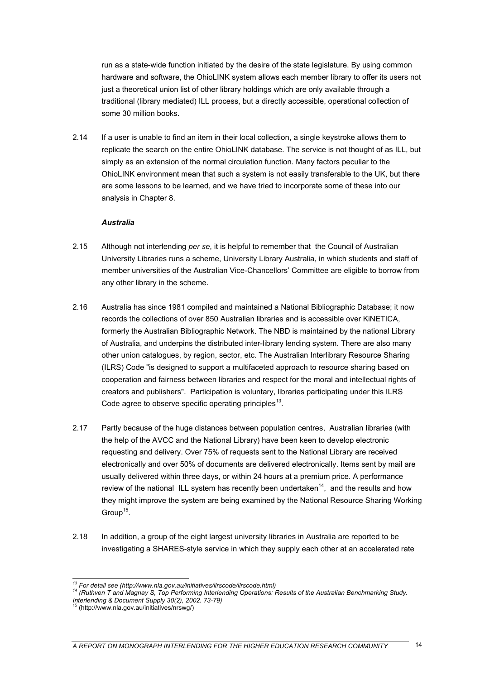run as a state-wide function initiated by the desire of the state legislature. By using common hardware and software, the OhioLINK system allows each member library to offer its users not just a theoretical union list of other library holdings which are only available through a traditional (library mediated) ILL process, but a directly accessible, operational collection of some 30 million books.

2.14 If a user is unable to find an item in their local collection, a single keystroke allows them to replicate the search on the entire OhioLINK database. The service is not thought of as ILL, but simply as an extension of the normal circulation function. Many factors peculiar to the OhioLINK environment mean that such a system is not easily transferable to the UK, but there are some lessons to be learned, and we have tried to incorporate some of these into our analysis in Chapter 8.

#### *Australia*

- 2.15 Although not interlending *per se*, it is helpful to remember that the Council of Australian University Libraries runs a scheme, University Library Australia, in which students and staff of member universities of the Australian Vice-Chancellors' Committee are eligible to borrow from any other library in the scheme.
- 2.16 Australia has since 1981 compiled and maintained a National Bibliographic Database; it now records the collections of over 850 Australian libraries and is accessible over KiNETICA, formerly the Australian Bibliographic Network. The NBD is maintained by the national Library of Australia, and underpins the distributed inter-library lending system. There are also many other union catalogues, by region, sector, etc. The Australian Interlibrary Resource Sharing (ILRS) Code "is designed to support a multifaceted approach to resource sharing based on cooperation and fairness between libraries and respect for the moral and intellectual rights of creators and publishers". Participation is voluntary, libraries participating under this ILRS Code agree to observe specific operating principles<sup>13</sup>.
- 2.17 Partly because of the huge distances between population centres, Australian libraries (with the help of the AVCC and the National Library) have been keen to develop electronic requesting and delivery. Over 75% of requests sent to the National Library are received electronically and over 50% of documents are delivered electronically. Items sent by mail are usually delivered within three days, or within 24 hours at a premium price. A performance review of the national ILL system has recently been undertaken<sup>14</sup>, and the results and how they might improve the system are being examined by the National Resource Sharing Working Group<sup>15</sup>.
- 2.18 In addition, a group of the eight largest university libraries in Australia are reported to be investigating a SHARES-style service in which they supply each other at an accelerated rate

<span id="page-14-1"></span><span id="page-14-0"></span>

*13 For detail see [\(http://www.nla.gov.au/initiatives/ilrscode/ilrscode.html](http://www.nla.gov.au/initiatives/ilrscode/ilrscode.html)) 14 (Ruthven T and Magnay S, Top Performing Interlending Operations: Results of the Australian Benchmarking Study. Interlending & Document Supply 30(2), 2002. 73-79)* 15 (http://www.nla.gov.au/initiatives/nrswg/)

<span id="page-14-2"></span>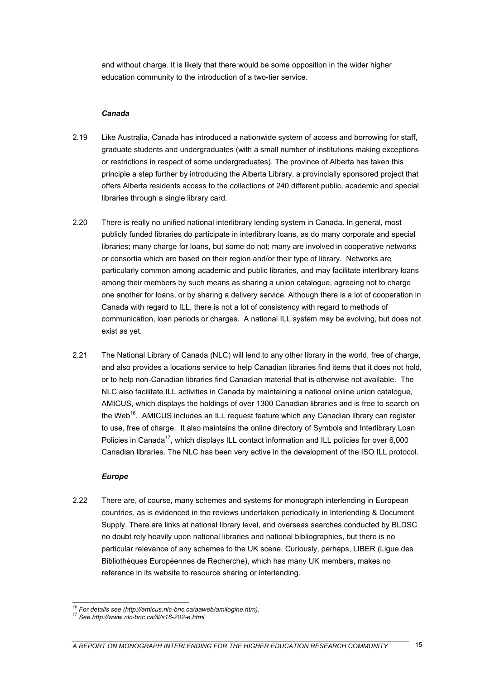and without charge. It is likely that there would be some opposition in the wider higher education community to the introduction of a two-tier service.

#### *Canada*

- 2.19 Like Australia, Canada has introduced a nationwide system of access and borrowing for staff, graduate students and undergraduates (with a small number of institutions making exceptions or restrictions in respect of some undergraduates). The province of Alberta has taken this principle a step further by introducing the Alberta Library, a provincially sponsored project that offers Alberta residents access to the collections of 240 different public, academic and special libraries through a single library card.
- 2.20 There is really no unified national interlibrary lending system in Canada. In general, most publicly funded libraries do participate in interlibrary loans, as do many corporate and special libraries; many charge for loans, but some do not; many are involved in cooperative networks or consortia which are based on their region and/or their type of library. Networks are particularly common among academic and public libraries, and may facilitate interlibrary loans among their members by such means as sharing a union catalogue, agreeing not to charge one another for loans, or by sharing a delivery service. Although there is a lot of cooperation in Canada with regard to ILL, there is not a lot of consistency with regard to methods of communication, loan periods or charges. A national ILL system may be evolving, but does not exist as yet.
- 2.21 The National Library of Canada (NLC) will lend to any other library in the world, free of charge, and also provides a locations service to help Canadian libraries find items that it does not hold, or to help non-Canadian libraries find Canadian material that is otherwise not available. The NLC also facilitate ILL activities in Canada by maintaining a national online union catalogue, AMICUS, which displays the holdings of over 1300 Canadian libraries and is free to search on the Web<sup>16</sup>. AMICUS includes an ILL request feature which any Canadian library can register to use, free of charge. It also maintains the online directory of Symbols and Interlibrary Loan Policies in Canada<sup>17</sup>, which displays ILL contact information and ILL policies for over 6,000 Canadian libraries. The NLC has been very active in the development of the ISO ILL protocol.

### *Europe*

2.22 There are, of course, many schemes and systems for monograph interlending in European countries, as is evidenced in the reviews undertaken periodically in Interlending & Document Supply. There are links at national library level, and overseas searches conducted by BLDSC no doubt rely heavily upon national libraries and national bibliographies, but there is no particular relevance of any schemes to the UK scene. Curiously, perhaps, LIBER (Ligue des Bibliothèques Européennes de Recherche), which has many UK members, makes no reference in its website to resource sharing or interlending.

<span id="page-15-0"></span>*16 For details see (http://amicus.nlc-bnc.ca/aaweb/amilogine.htm). 17 See http://www.nlc-bnc.ca/ill/s16-202-e.html*

<span id="page-15-1"></span>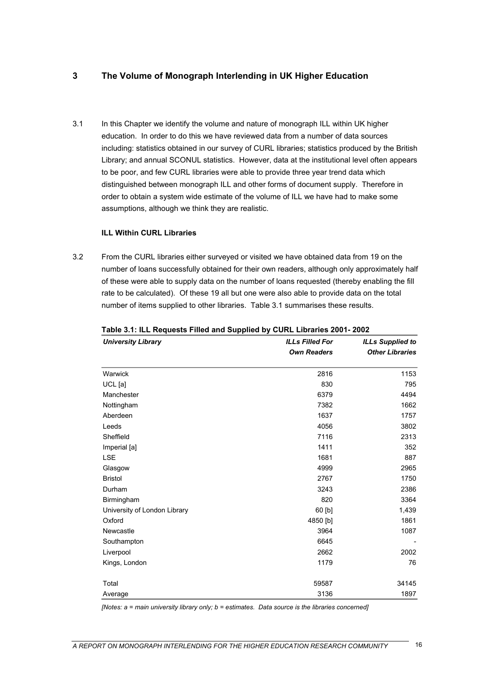# **3 The Volume of Monograph Interlending in UK Higher Education**

3.1 In this Chapter we identify the volume and nature of monograph ILL within UK higher education. In order to do this we have reviewed data from a number of data sources including: statistics obtained in our survey of CURL libraries; statistics produced by the British Library; and annual SCONUL statistics. However, data at the institutional level often appears to be poor, and few CURL libraries were able to provide three year trend data which distinguished between monograph ILL and other forms of document supply. Therefore in order to obtain a system wide estimate of the volume of ILL we have had to make some assumptions, although we think they are realistic.

### **ILL Within CURL Libraries**

3.2 From the CURL libraries either surveyed or visited we have obtained data from 19 on the number of loans successfully obtained for their own readers, although only approximately half of these were able to supply data on the number of loans requested (thereby enabling the fill rate to be calculated). Of these 19 all but one were also able to provide data on the total number of items supplied to other libraries. Table 3.1 summarises these results.

| <b>University Library</b>    | <b>ILLs Filled For</b> | <b>ILLs Supplied to</b> |
|------------------------------|------------------------|-------------------------|
|                              | <b>Own Readers</b>     | <b>Other Libraries</b>  |
| Warwick                      | 2816                   | 1153                    |
| UCL [a]                      | 830                    | 795                     |
| Manchester                   | 6379                   | 4494                    |
| Nottingham                   | 7382                   | 1662                    |
| Aberdeen                     | 1637                   | 1757                    |
| Leeds                        | 4056                   | 3802                    |
| Sheffield                    | 7116                   | 2313                    |
| Imperial [a]                 | 1411                   | 352                     |
| <b>LSE</b>                   | 1681                   | 887                     |
| Glasgow                      | 4999                   | 2965                    |
| <b>Bristol</b>               | 2767                   | 1750                    |
| Durham                       | 3243                   | 2386                    |
| Birmingham                   | 820                    | 3364                    |
| University of London Library | 60 [b]                 | 1,439                   |
| Oxford                       | 4850 [b]               | 1861                    |
| Newcastle                    | 3964                   | 1087                    |
| Southampton                  | 6645                   |                         |
| Liverpool                    | 2662                   | 2002                    |
| Kings, London                | 1179                   | 76                      |
| Total                        | 59587                  | 34145                   |
| Average                      | 3136                   | 1897                    |

#### **Table 3.1: ILL Requests Filled and Supplied by CURL Libraries 2001- 2002**

*[Notes: a = main university library only; b = estimates. Data source is the libraries concerned]*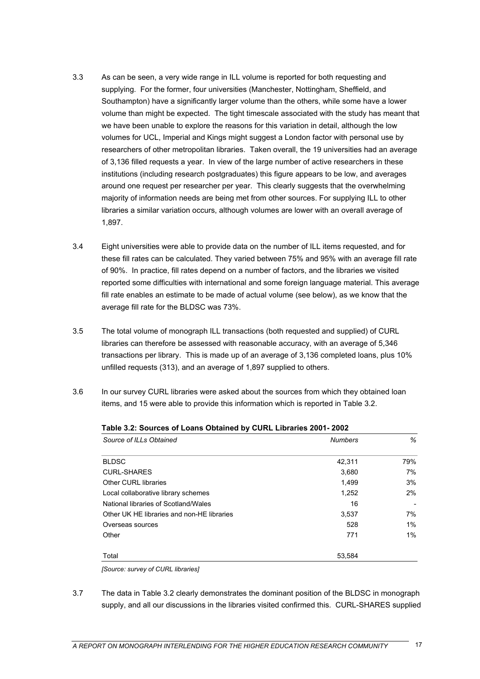- 3.3 As can be seen, a very wide range in ILL volume is reported for both requesting and supplying. For the former, four universities (Manchester, Nottingham, Sheffield, and Southampton) have a significantly larger volume than the others, while some have a lower volume than might be expected. The tight timescale associated with the study has meant that we have been unable to explore the reasons for this variation in detail, although the low volumes for UCL, Imperial and Kings might suggest a London factor with personal use by researchers of other metropolitan libraries. Taken overall, the 19 universities had an average of 3,136 filled requests a year. In view of the large number of active researchers in these institutions (including research postgraduates) this figure appears to be low, and averages around one request per researcher per year. This clearly suggests that the overwhelming majority of information needs are being met from other sources. For supplying ILL to other libraries a similar variation occurs, although volumes are lower with an overall average of 1,897.
- 3.4 Eight universities were able to provide data on the number of ILL items requested, and for these fill rates can be calculated. They varied between 75% and 95% with an average fill rate of 90%. In practice, fill rates depend on a number of factors, and the libraries we visited reported some difficulties with international and some foreign language material. This average fill rate enables an estimate to be made of actual volume (see below), as we know that the average fill rate for the BLDSC was 73%.
- 3.5 The total volume of monograph ILL transactions (both requested and supplied) of CURL libraries can therefore be assessed with reasonable accuracy, with an average of 5,346 transactions per library. This is made up of an average of 3,136 completed loans, plus 10% unfilled requests (313), and an average of 1,897 supplied to others.
- 3.6 In our survey CURL libraries were asked about the sources from which they obtained loan items, and 15 were able to provide this information which is reported in Table 3.2.

| Source of ILLs Obtained                    | <b>Numbers</b> |       |
|--------------------------------------------|----------------|-------|
| <b>BLDSC</b>                               | 42,311         | 79%   |
| <b>CURL-SHARES</b>                         | 3,680          | 7%    |
| Other CURL libraries                       | 1,499          | 3%    |
| Local collaborative library schemes        | 1,252          | 2%    |
| National libraries of Scotland/Wales       | 16             |       |
| Other UK HE libraries and non-HE libraries | 3,537          | 7%    |
| Overseas sources                           | 528            | $1\%$ |
| Other                                      | 771            | $1\%$ |
| Total                                      | 53.584         |       |

**Table 3.2: Sources of Loans Obtained by CURL Libraries 2001- 2002**

*[Source: survey of CURL libraries]* 

3.7 The data in Table 3.2 clearly demonstrates the dominant position of the BLDSC in monograph supply, and all our discussions in the libraries visited confirmed this. CURL-SHARES supplied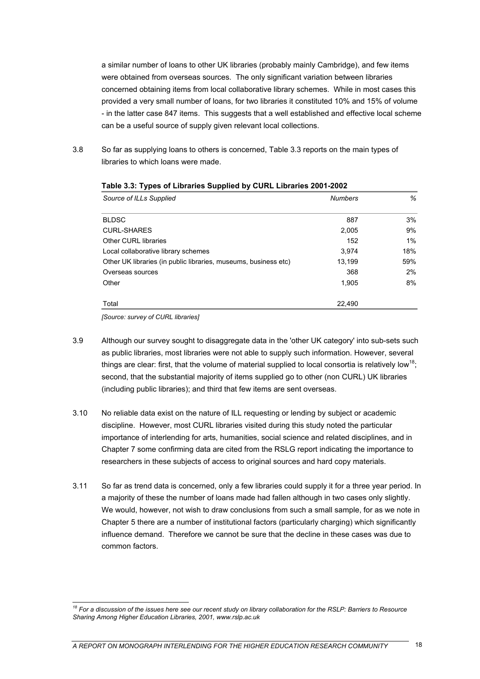a similar number of loans to other UK libraries (probably mainly Cambridge), and few items were obtained from overseas sources. The only significant variation between libraries concerned obtaining items from local collaborative library schemes. While in most cases this provided a very small number of loans, for two libraries it constituted 10% and 15% of volume - in the latter case 847 items. This suggests that a well established and effective local scheme can be a useful source of supply given relevant local collections.

3.8 So far as supplying loans to others is concerned, Table 3.3 reports on the main types of libraries to which loans were made.

| Source of ILLs Supplied                                         | <b>Numbers</b> | %     |
|-----------------------------------------------------------------|----------------|-------|
| <b>BLDSC</b>                                                    | 887            | 3%    |
| <b>CURL-SHARES</b>                                              | 2,005          | 9%    |
| Other CURL libraries                                            | 152            | $1\%$ |
| Local collaborative library schemes                             | 3,974          | 18%   |
| Other UK libraries (in public libraries, museums, business etc) | 13,199         | 59%   |
| Overseas sources                                                | 368            | 2%    |
| Other                                                           | 1,905          | 8%    |
| Total                                                           | 22,490         |       |

#### **Table 3.3: Types of Libraries Supplied by CURL Libraries 2001-2002**

*[Source: survey of CURL libraries]*

- 3.9 Although our survey sought to disaggregate data in the 'other UK category' into sub-sets such as public libraries, most libraries were not able to supply such information. However, several things are clear: first, that the volume of material supplied to local consortia is relatively low<sup>18</sup>: second, that the substantial majority of items supplied go to other (non CURL) UK libraries (including public libraries); and third that few items are sent overseas.
- 3.10 No reliable data exist on the nature of ILL requesting or lending by subject or academic discipline. However, most CURL libraries visited during this study noted the particular importance of interlending for arts, humanities, social science and related disciplines, and in Chapter 7 some confirming data are cited from the RSLG report indicating the importance to researchers in these subjects of access to original sources and hard copy materials.
- 3.11 So far as trend data is concerned, only a few libraries could supply it for a three year period. In a majority of these the number of loans made had fallen although in two cases only slightly. We would, however, not wish to draw conclusions from such a small sample, for as we note in Chapter 5 there are a number of institutional factors (particularly charging) which significantly influence demand. Therefore we cannot be sure that the decline in these cases was due to common factors.

<span id="page-18-0"></span>*18 For a discussion of the issues here see our recent study on library collaboration for the RSLP: Barriers to Resource Sharing Among Higher Education Libraries, 2001, www.rslp.ac.uk*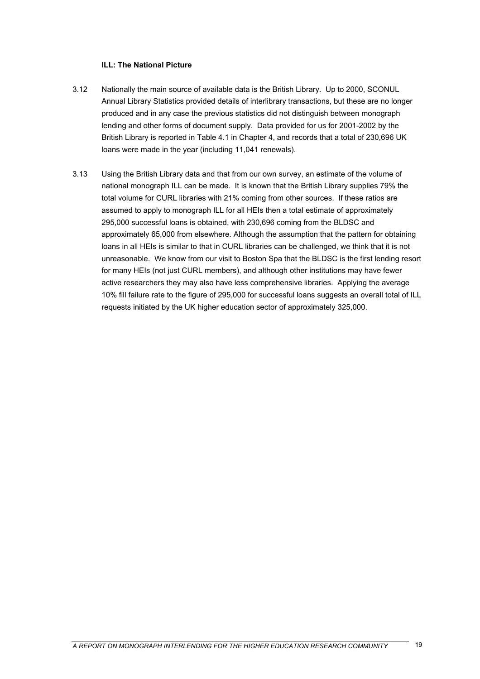#### **ILL: The National Picture**

- 3.12 Nationally the main source of available data is the British Library. Up to 2000, SCONUL Annual Library Statistics provided details of interlibrary transactions, but these are no longer produced and in any case the previous statistics did not distinguish between monograph lending and other forms of document supply. Data provided for us for 2001-2002 by the British Library is reported in Table 4.1 in Chapter 4, and records that a total of 230,696 UK loans were made in the year (including 11,041 renewals).
- 3.13 Using the British Library data and that from our own survey, an estimate of the volume of national monograph ILL can be made. It is known that the British Library supplies 79% the total volume for CURL libraries with 21% coming from other sources. If these ratios are assumed to apply to monograph ILL for all HEIs then a total estimate of approximately 295,000 successful loans is obtained, with 230,696 coming from the BLDSC and approximately 65,000 from elsewhere. Although the assumption that the pattern for obtaining loans in all HEIs is similar to that in CURL libraries can be challenged, we think that it is not unreasonable. We know from our visit to Boston Spa that the BLDSC is the first lending resort for many HEIs (not just CURL members), and although other institutions may have fewer active researchers they may also have less comprehensive libraries. Applying the average 10% fill failure rate to the figure of 295,000 for successful loans suggests an overall total of ILL requests initiated by the UK higher education sector of approximately 325,000.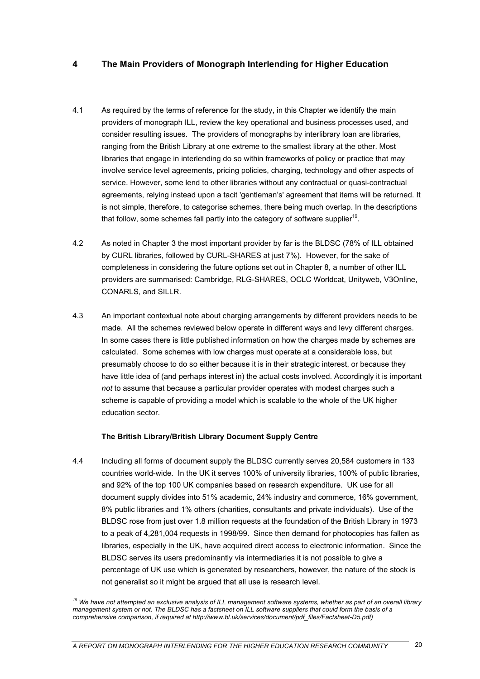# **4 The Main Providers of Monograph Interlending for Higher Education**

- 4.1 As required by the terms of reference for the study, in this Chapter we identify the main providers of monograph ILL, review the key operational and business processes used, and consider resulting issues. The providers of monographs by interlibrary loan are libraries, ranging from the British Library at one extreme to the smallest library at the other. Most libraries that engage in interlending do so within frameworks of policy or practice that may involve service level agreements, pricing policies, charging, technology and other aspects of service. However, some lend to other libraries without any contractual or quasi-contractual agreements, relying instead upon a tacit 'gentleman's' agreement that items will be returned. It is not simple, therefore, to categorise schemes, there being much overlap. In the descriptions that follow, some schemes fall partly into the category of software supplier<sup>19</sup>.
- 4.2 As noted in Chapter 3 the most important provider by far is the BLDSC (78% of ILL obtained by CURL libraries, followed by CURL-SHARES at just 7%). However, for the sake of completeness in considering the future options set out in Chapter 8, a number of other ILL providers are summarised: Cambridge, RLG-SHARES, OCLC Worldcat, Unityweb, V3Online, CONARLS, and SILLR.
- 4.3 An important contextual note about charging arrangements by different providers needs to be made. All the schemes reviewed below operate in different ways and levy different charges. In some cases there is little published information on how the charges made by schemes are calculated. Some schemes with low charges must operate at a considerable loss, but presumably choose to do so either because it is in their strategic interest, or because they have little idea of (and perhaps interest in) the actual costs involved. Accordingly it is important *not* to assume that because a particular provider operates with modest charges such a scheme is capable of providing a model which is scalable to the whole of the UK higher education sector.

### **The British Library/British Library Document Supply Centre**

4.4 Including all forms of document supply the BLDSC currently serves 20,584 customers in 133 countries world-wide. In the UK it serves 100% of university libraries, 100% of public libraries, and 92% of the top 100 UK companies based on research expenditure. UK use for all document supply divides into 51% academic, 24% industry and commerce, 16% government, 8% public libraries and 1% others (charities, consultants and private individuals). Use of the BLDSC rose from just over 1.8 million requests at the foundation of the British Library in 1973 to a peak of 4,281,004 requests in 1998/99. Since then demand for photocopies has fallen as libraries, especially in the UK, have acquired direct access to electronic information. Since the BLDSC serves its users predominantly via intermediaries it is not possible to give a percentage of UK use which is generated by researchers, however, the nature of the stock is not generalist so it might be argued that all use is research level.

<span id="page-20-0"></span>*<sup>19</sup> We have not attempted an exclusive analysis of ILL management software systems, whether as part of an overall library management system or not. The BLDSC has a factsheet on ILL software suppliers that could form the basis of a comprehensive comparison, if required at [http://www.bl.uk/services/document/pdf\\_files/Factsheet-D5.pdf\)](http://www.bl.uk/services/document/pdf_files/Factsheet-D5.pdf)*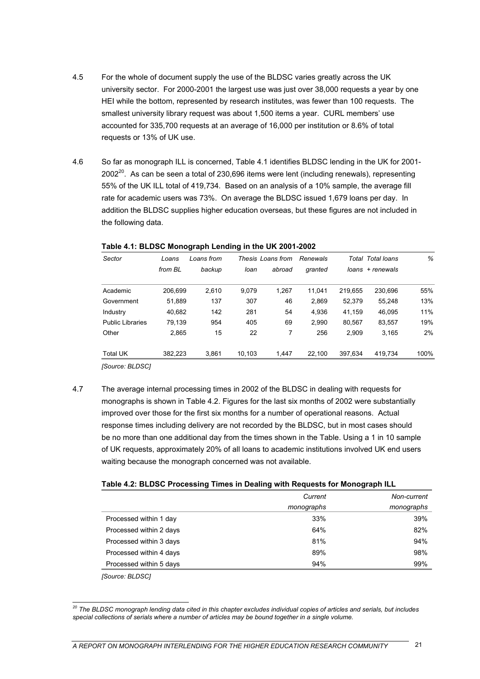- 4.5 For the whole of document supply the use of the BLDSC varies greatly across the UK university sector. For 2000-2001 the largest use was just over 38,000 requests a year by one HEI while the bottom, represented by research institutes, was fewer than 100 requests. The smallest university library request was about 1,500 items a year. CURL members' use accounted for 335,700 requests at an average of 16,000 per institution or 8.6% of total requests or 13% of UK use.
- 4.6 So far as monograph ILL is concerned, Table 4.1 identifies BLDSC lending in the UK for 2001-  $2002^{20}$ . As can be seen a total of 230,696 items were lent (including renewals), representing 55% of the UK ILL total of 419,734. Based on an analysis of a 10% sample, the average fill rate for academic users was 73%. On average the BLDSC issued 1,679 loans per day. In addition the BLDSC supplies higher education overseas, but these figures are not included in the following data.

| Sector                  | Loans   | Loans from |        | Thesis I pans from | Renewals |         | <b>Total Total loans</b> | %    |
|-------------------------|---------|------------|--------|--------------------|----------|---------|--------------------------|------|
|                         | from BL | backup     | loan   | abroad             | granted  |         | loans + renewals         |      |
| Academic                | 206.699 | 2.610      | 9.079  | 1.267              | 11.041   | 219.655 | 230.696                  | 55%  |
| Government              | 51.889  | 137        | 307    | 46                 | 2.869    | 52,379  | 55.248                   | 13%  |
| Industry                | 40.682  | 142        | 281    | 54                 | 4.936    | 41.159  | 46.095                   | 11%  |
| <b>Public Libraries</b> | 79.139  | 954        | 405    | 69                 | 2.990    | 80.567  | 83.557                   | 19%  |
| Other                   | 2.865   | 15         | 22     | 7                  | 256      | 2.909   | 3.165                    | 2%   |
| Total UK                | 382.223 | 3,861      | 10.103 | 1,447              | 22,100   | 397.634 | 419.734                  | 100% |

#### **Table 4.1: BLDSC Monograph Lending in the UK 2001-2002**

 *[Source: BLDSC]*

4.7 The average internal processing times in 2002 of the BLDSC in dealing with requests for monographs is shown in Table 4.2. Figures for the last six months of 2002 were substantially improved over those for the first six months for a number of operational reasons. Actual response times including delivery are not recorded by the BLDSC, but in most cases should be no more than one additional day from the times shown in the Table. Using a 1 in 10 sample of UK requests, approximately 20% of all loans to academic institutions involved UK end users waiting because the monograph concerned was not available.

#### **Table 4.2: BLDSC Processing Times in Dealing with Requests for Monograph ILL**

|                         | Current    | Non-current |
|-------------------------|------------|-------------|
|                         | monographs | monographs  |
| Processed within 1 day  | 33%        | 39%         |
| Processed within 2 days | 64%        | 82%         |
| Processed within 3 days | 81%        | 94%         |
| Processed within 4 days | 89%        | 98%         |
| Processed within 5 days | 94%        | 99%         |

 *[Source: BLDSC]*

<span id="page-21-0"></span>*20 The BLDSC monograph lending data cited in this chapter excludes individual copies of articles and serials, but includes special collections of serials where a number of articles may be bound together in a single volume.*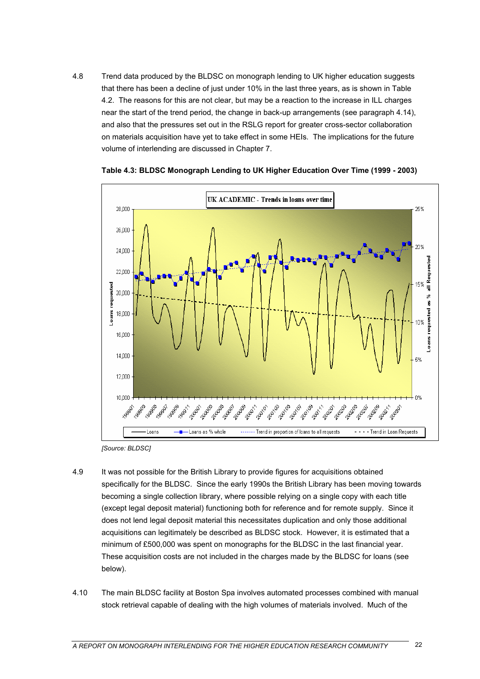4.8 Trend data produced by the BLDSC on monograph lending to UK higher education suggests that there has been a decline of just under 10% in the last three years, as is shown in Table 4.2. The reasons for this are not clear, but may be a reaction to the increase in ILL charges near the start of the trend period, the change in back-up arrangements (see paragraph 4.14), and also that the pressures set out in the RSLG report for greater cross-sector collaboration on materials acquisition have yet to take effect in some HEIs. The implications for the future volume of interlending are discussed in Chapter 7.





 *[Source: BLDSC]*

- 4.9 It was not possible for the British Library to provide figures for acquisitions obtained specifically for the BLDSC. Since the early 1990s the British Library has been moving towards becoming a single collection library, where possible relying on a single copy with each title (except legal deposit material) functioning both for reference and for remote supply. Since it does not lend legal deposit material this necessitates duplication and only those additional acquisitions can legitimately be described as BLDSC stock. However, it is estimated that a minimum of £500,000 was spent on monographs for the BLDSC in the last financial year. These acquisition costs are not included in the charges made by the BLDSC for loans (see below).
- 4.10 The main BLDSC facility at Boston Spa involves automated processes combined with manual stock retrieval capable of dealing with the high volumes of materials involved. Much of the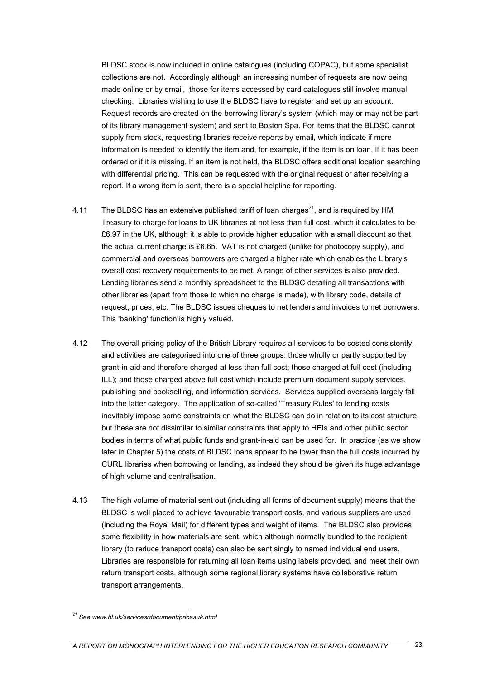BLDSC stock is now included in online catalogues (including COPAC), but some specialist collections are not. Accordingly although an increasing number of requests are now being made online or by email, those for items accessed by card catalogues still involve manual checking. Libraries wishing to use the BLDSC have to register and set up an account. Request records are created on the borrowing library's system (which may or may not be part of its library management system) and sent to Boston Spa. For items that the BLDSC cannot supply from stock, requesting libraries receive reports by email, which indicate if more information is needed to identify the item and, for example, if the item is on loan, if it has been ordered or if it is missing. If an item is not held, the BLDSC offers additional location searching with differential pricing. This can be requested with the original request or after receiving a report. If a wrong item is sent, there is a special helpline for reporting.

- 4.11 The BLDSC has an extensive published tariff of loan charges<sup>21</sup>, and is required by HM Treasury to charge for loans to UK libraries at not less than full cost, which it calculates to be £6.97 in the UK, although it is able to provide higher education with a small discount so that the actual current charge is £6.65. VAT is not charged (unlike for photocopy supply), and commercial and overseas borrowers are charged a higher rate which enables the Library's overall cost recovery requirements to be met. A range of other services is also provided. Lending libraries send a monthly spreadsheet to the BLDSC detailing all transactions with other libraries (apart from those to which no charge is made), with library code, details of request, prices, etc. The BLDSC issues cheques to net lenders and invoices to net borrowers. This 'banking' function is highly valued.
- 4.12 The overall pricing policy of the British Library requires all services to be costed consistently, and activities are categorised into one of three groups: those wholly or partly supported by grant-in-aid and therefore charged at less than full cost; those charged at full cost (including ILL); and those charged above full cost which include premium document supply services, publishing and bookselling, and information services. Services supplied overseas largely fall into the latter category. The application of so-called 'Treasury Rules' to lending costs inevitably impose some constraints on what the BLDSC can do in relation to its cost structure, but these are not dissimilar to similar constraints that apply to HEIs and other public sector bodies in terms of what public funds and grant-in-aid can be used for. In practice (as we show later in Chapter 5) the costs of BLDSC loans appear to be lower than the full costs incurred by CURL libraries when borrowing or lending, as indeed they should be given its huge advantage of high volume and centralisation.
- 4.13 The high volume of material sent out (including all forms of document supply) means that the BLDSC is well placed to achieve favourable transport costs, and various suppliers are used (including the Royal Mail) for different types and weight of items. The BLDSC also provides some flexibility in how materials are sent, which although normally bundled to the recipient library (to reduce transport costs) can also be sent singly to named individual end users. Libraries are responsible for returning all loan items using labels provided, and meet their own return transport costs, although some regional library systems have collaborative return transport arrangements.

<span id="page-23-0"></span>*21 See www.bl.uk/services/document/pricesuk.html*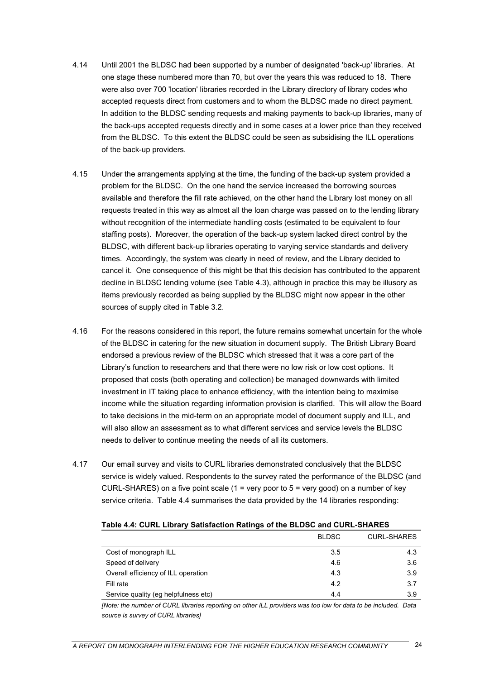- 4.14 Until 2001 the BLDSC had been supported by a number of designated 'back-up' libraries. At one stage these numbered more than 70, but over the years this was reduced to 18. There were also over 700 'location' libraries recorded in the Library directory of library codes who accepted requests direct from customers and to whom the BLDSC made no direct payment. In addition to the BLDSC sending requests and making payments to back-up libraries, many of the back-ups accepted requests directly and in some cases at a lower price than they received from the BLDSC. To this extent the BLDSC could be seen as subsidising the ILL operations of the back-up providers.
- 4.15 Under the arrangements applying at the time, the funding of the back-up system provided a problem for the BLDSC. On the one hand the service increased the borrowing sources available and therefore the fill rate achieved, on the other hand the Library lost money on all requests treated in this way as almost all the loan charge was passed on to the lending library without recognition of the intermediate handling costs (estimated to be equivalent to four staffing posts). Moreover, the operation of the back-up system lacked direct control by the BLDSC, with different back-up libraries operating to varying service standards and delivery times. Accordingly, the system was clearly in need of review, and the Library decided to cancel it. One consequence of this might be that this decision has contributed to the apparent decline in BLDSC lending volume (see Table 4.3), although in practice this may be illusory as items previously recorded as being supplied by the BLDSC might now appear in the other sources of supply cited in Table 3.2.
- 4.16 For the reasons considered in this report, the future remains somewhat uncertain for the whole of the BLDSC in catering for the new situation in document supply. The British Library Board endorsed a previous review of the BLDSC which stressed that it was a core part of the Library's function to researchers and that there were no low risk or low cost options. It proposed that costs (both operating and collection) be managed downwards with limited investment in IT taking place to enhance efficiency, with the intention being to maximise income while the situation regarding information provision is clarified. This will allow the Board to take decisions in the mid-term on an appropriate model of document supply and ILL, and will also allow an assessment as to what different services and service levels the BLDSC needs to deliver to continue meeting the needs of all its customers.
- 4.17 Our email survey and visits to CURL libraries demonstrated conclusively that the BLDSC service is widely valued. Respondents to the survey rated the performance of the BLDSC (and CURL-SHARES) on a five point scale  $(1 = \text{very poor to } 5 = \text{very good})$  on a number of key service criteria. Table 4.4 summarises the data provided by the 14 libraries responding:

|                                      | <b>BLDSC</b> | <b>CURL-SHARES</b> |
|--------------------------------------|--------------|--------------------|
| Cost of monograph ILL                | 3.5          | 4.3                |
| Speed of delivery                    | 4.6          | 3.6                |
| Overall efficiency of ILL operation  | 4.3          | 3.9                |
| Fill rate                            | 4.2          | 3.7                |
| Service quality (eg helpfulness etc) | 4.4          | 3.9                |

#### **Table 4.4: CURL Library Satisfaction Ratings of the BLDSC and CURL-SHARES**

*[Note: the number of CURL libraries reporting on other ILL providers was too low for data to be included. Data source is survey of CURL libraries]*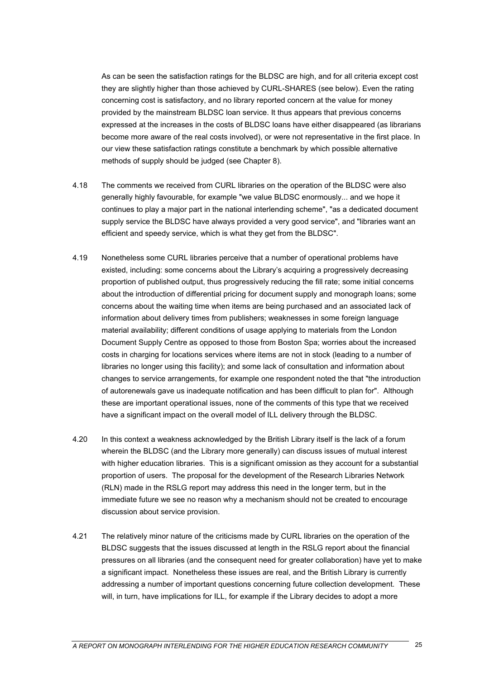As can be seen the satisfaction ratings for the BLDSC are high, and for all criteria except cost they are slightly higher than those achieved by CURL-SHARES (see below). Even the rating concerning cost is satisfactory, and no library reported concern at the value for money provided by the mainstream BLDSC loan service. It thus appears that previous concerns expressed at the increases in the costs of BLDSC loans have either disappeared (as librarians become more aware of the real costs involved), or were not representative in the first place. In our view these satisfaction ratings constitute a benchmark by which possible alternative methods of supply should be judged (see Chapter 8).

- 4.18 The comments we received from CURL libraries on the operation of the BLDSC were also generally highly favourable, for example "we value BLDSC enormously... and we hope it continues to play a major part in the national interlending scheme", "as a dedicated document supply service the BLDSC have always provided a very good service", and "libraries want an efficient and speedy service, which is what they get from the BLDSC".
- 4.19 Nonetheless some CURL libraries perceive that a number of operational problems have existed, including: some concerns about the Library's acquiring a progressively decreasing proportion of published output, thus progressively reducing the fill rate; some initial concerns about the introduction of differential pricing for document supply and monograph loans; some concerns about the waiting time when items are being purchased and an associated lack of information about delivery times from publishers; weaknesses in some foreign language material availability; different conditions of usage applying to materials from the London Document Supply Centre as opposed to those from Boston Spa; worries about the increased costs in charging for locations services where items are not in stock (leading to a number of libraries no longer using this facility); and some lack of consultation and information about changes to service arrangements, for example one respondent noted the that "the introduction of autorenewals gave us inadequate notification and has been difficult to plan for". Although these are important operational issues, none of the comments of this type that we received have a significant impact on the overall model of ILL delivery through the BLDSC.
- 4.20 In this context a weakness acknowledged by the British Library itself is the lack of a forum wherein the BLDSC (and the Library more generally) can discuss issues of mutual interest with higher education libraries. This is a significant omission as they account for a substantial proportion of users. The proposal for the development of the Research Libraries Network (RLN) made in the RSLG report may address this need in the longer term, but in the immediate future we see no reason why a mechanism should not be created to encourage discussion about service provision.
- 4.21 The relatively minor nature of the criticisms made by CURL libraries on the operation of the BLDSC suggests that the issues discussed at length in the RSLG report about the financial pressures on all libraries (and the consequent need for greater collaboration) have yet to make a significant impact. Nonetheless these issues are real, and the British Library is currently addressing a number of important questions concerning future collection development. These will, in turn, have implications for ILL, for example if the Library decides to adopt a more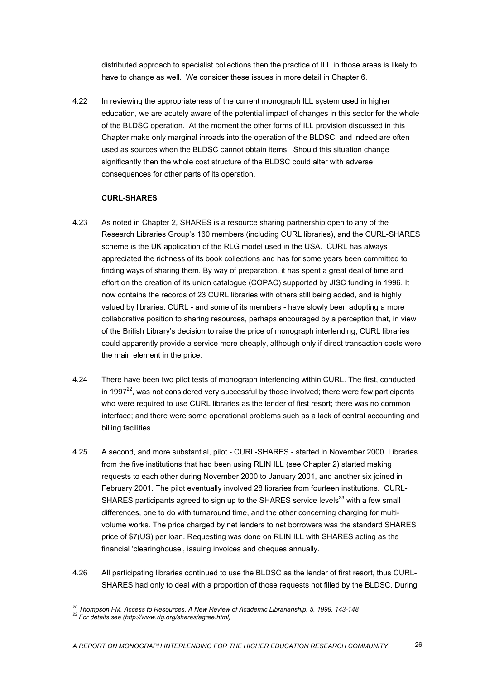distributed approach to specialist collections then the practice of ILL in those areas is likely to have to change as well. We consider these issues in more detail in Chapter 6.

4.22 In reviewing the appropriateness of the current monograph ILL system used in higher education, we are acutely aware of the potential impact of changes in this sector for the whole of the BLDSC operation. At the moment the other forms of ILL provision discussed in this Chapter make only marginal inroads into the operation of the BLDSC, and indeed are often used as sources when the BLDSC cannot obtain items. Should this situation change significantly then the whole cost structure of the BLDSC could alter with adverse consequences for other parts of its operation.

### **CURL-SHARES**

- 4.23 As noted in Chapter 2, SHARES is a resource sharing partnership open to any of the Research Libraries Group's 160 members (including CURL libraries), and the CURL-SHARES scheme is the UK application of the RLG model used in the USA. CURL has always appreciated the richness of its book collections and has for some years been committed to finding ways of sharing them. By way of preparation, it has spent a great deal of time and effort on the creation of its union catalogue (COPAC) supported by JISC funding in 1996. It now contains the records of 23 CURL libraries with others still being added, and is highly valued by libraries. CURL - and some of its members - have slowly been adopting a more collaborative position to sharing resources, perhaps encouraged by a perception that, in view of the British Library's decision to raise the price of monograph interlending, CURL libraries could apparently provide a service more cheaply, although only if direct transaction costs were the main element in the price.
- 4.24 There have been two pilot tests of monograph interlending within CURL. The first, conducted in 1997 $^{22}$ , was not considered very successful by those involved; there were few participants who were required to use CURL libraries as the lender of first resort; there was no common interface; and there were some operational problems such as a lack of central accounting and billing facilities.
- 4.25 A second, and more substantial, pilot CURL-SHARES started in November 2000. Libraries from the five institutions that had been using RLIN ILL (see Chapter 2) started making requests to each other during November 2000 to January 2001, and another six joined in February 2001. The pilot eventually involved 28 libraries from fourteen institutions. CURL-SHARES participants agreed to sign up to the SHARES service levels<sup>23</sup> with a few small differences, one to do with turnaround time, and the other concerning charging for multivolume works. The price charged by net lenders to net borrowers was the standard SHARES price of \$7(US) per loan. Requesting was done on RLIN ILL with SHARES acting as the financial 'clearinghouse', issuing invoices and cheques annually.
- 4.26 All participating libraries continued to use the BLDSC as the lender of first resort, thus CURL-SHARES had only to deal with a proportion of those requests not filled by the BLDSC. During

<span id="page-26-0"></span>*22 Thompson FM, [Access to Resources. A New Review](http://www.rlg.org/shares/agree.html) of Academic Librarianship, 5, 1999, 143-148 23 For details see (http://www.rlg.org/shares/agree.html)* 

<span id="page-26-1"></span>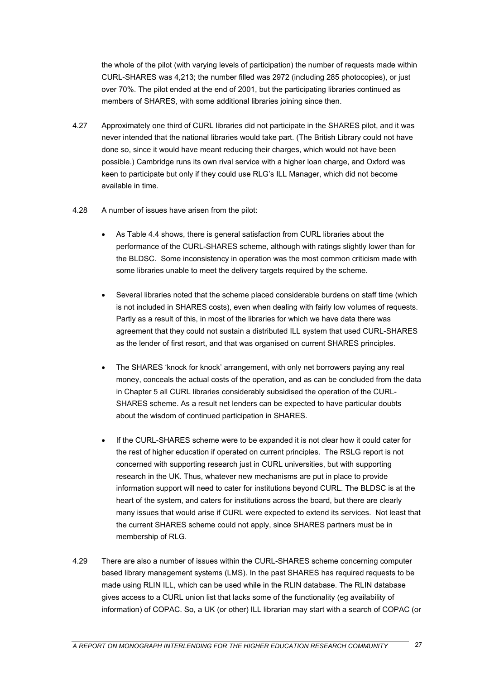the whole of the pilot (with varying levels of participation) the number of requests made within CURL-SHARES was 4,213; the number filled was 2972 (including 285 photocopies), or just over 70%. The pilot ended at the end of 2001, but the participating libraries continued as members of SHARES, with some additional libraries joining since then.

- 4.27 Approximately one third of CURL libraries did not participate in the SHARES pilot, and it was never intended that the national libraries would take part. (The British Library could not have done so, since it would have meant reducing their charges, which would not have been possible.) Cambridge runs its own rival service with a higher loan charge, and Oxford was keen to participate but only if they could use RLG's ILL Manager, which did not become available in time.
- 4.28 A number of issues have arisen from the pilot:
	- As Table 4.4 shows, there is general satisfaction from CURL libraries about the performance of the CURL-SHARES scheme, although with ratings slightly lower than for the BLDSC. Some inconsistency in operation was the most common criticism made with some libraries unable to meet the delivery targets required by the scheme.
	- Several libraries noted that the scheme placed considerable burdens on staff time (which is not included in SHARES costs), even when dealing with fairly low volumes of requests. Partly as a result of this, in most of the libraries for which we have data there was agreement that they could not sustain a distributed ILL system that used CURL-SHARES as the lender of first resort, and that was organised on current SHARES principles.
	- The SHARES 'knock for knock' arrangement, with only net borrowers paying any real money, conceals the actual costs of the operation, and as can be concluded from the data in Chapter 5 all CURL libraries considerably subsidised the operation of the CURL-SHARES scheme. As a result net lenders can be expected to have particular doubts about the wisdom of continued participation in SHARES.
	- If the CURL-SHARES scheme were to be expanded it is not clear how it could cater for the rest of higher education if operated on current principles. The RSLG report is not concerned with supporting research just in CURL universities, but with supporting research in the UK. Thus, whatever new mechanisms are put in place to provide information support will need to cater for institutions beyond CURL. The BLDSC is at the heart of the system, and caters for institutions across the board, but there are clearly many issues that would arise if CURL were expected to extend its services. Not least that the current SHARES scheme could not apply, since SHARES partners must be in membership of RLG.
- 4.29 There are also a number of issues within the CURL-SHARES scheme concerning computer based library management systems (LMS). In the past SHARES has required requests to be made using RLIN ILL, which can be used while in the RLIN database. The RLIN database gives access to a CURL union list that lacks some of the functionality (eg availability of information) of COPAC. So, a UK (or other) ILL librarian may start with a search of COPAC (or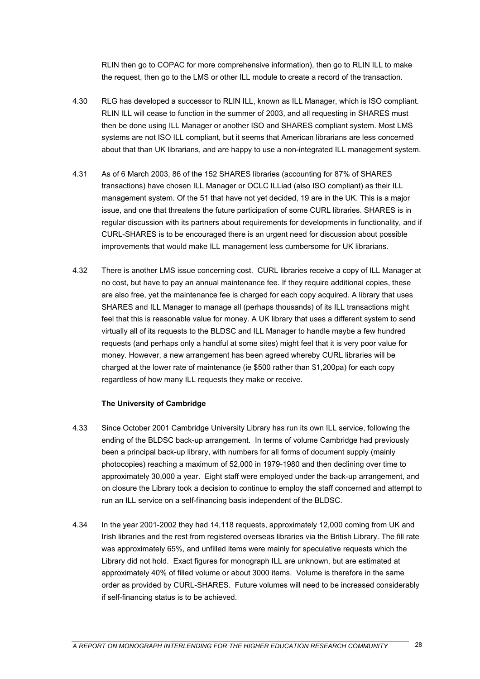RLIN then go to COPAC for more comprehensive information), then go to RLIN ILL to make the request, then go to the LMS or other ILL module to create a record of the transaction.

- 4.30 RLG has developed a successor to RLIN ILL, known as ILL Manager, which is ISO compliant. RLIN ILL will cease to function in the summer of 2003, and all requesting in SHARES must then be done using ILL Manager or another ISO and SHARES compliant system. Most LMS systems are not ISO ILL compliant, but it seems that American librarians are less concerned about that than UK librarians, and are happy to use a non-integrated ILL management system.
- 4.31 As of 6 March 2003, 86 of the 152 SHARES libraries (accounting for 87% of SHARES transactions) have chosen ILL Manager or OCLC ILLiad (also ISO compliant) as their ILL management system. Of the 51 that have not yet decided, 19 are in the UK. This is a major issue, and one that threatens the future participation of some CURL libraries. SHARES is in regular discussion with its partners about requirements for developments in functionality, and if CURL-SHARES is to be encouraged there is an urgent need for discussion about possible improvements that would make ILL management less cumbersome for UK librarians.
- 4.32 There is another LMS issue concerning cost. CURL libraries receive a copy of ILL Manager at no cost, but have to pay an annual maintenance fee. If they require additional copies, these are also free, yet the maintenance fee is charged for each copy acquired. A library that uses SHARES and ILL Manager to manage all (perhaps thousands) of its ILL transactions might feel that this is reasonable value for money. A UK library that uses a different system to send virtually all of its requests to the BLDSC and ILL Manager to handle maybe a few hundred requests (and perhaps only a handful at some sites) might feel that it is very poor value for money. However, a new arrangement has been agreed whereby CURL libraries will be charged at the lower rate of maintenance (ie \$500 rather than \$1,200pa) for each copy regardless of how many ILL requests they make or receive.

### **The University of Cambridge**

- 4.33 Since October 2001 Cambridge University Library has run its own ILL service, following the ending of the BLDSC back-up arrangement. In terms of volume Cambridge had previously been a principal back-up library, with numbers for all forms of document supply (mainly photocopies) reaching a maximum of 52,000 in 1979-1980 and then declining over time to approximately 30,000 a year. Eight staff were employed under the back-up arrangement, and on closure the Library took a decision to continue to employ the staff concerned and attempt to run an ILL service on a self-financing basis independent of the BLDSC.
- 4.34 In the year 2001-2002 they had 14,118 requests, approximately 12,000 coming from UK and Irish libraries and the rest from registered overseas libraries via the British Library. The fill rate was approximately 65%, and unfilled items were mainly for speculative requests which the Library did not hold. Exact figures for monograph ILL are unknown, but are estimated at approximately 40% of filled volume or about 3000 items. Volume is therefore in the same order as provided by CURL-SHARES. Future volumes will need to be increased considerably if self-financing status is to be achieved.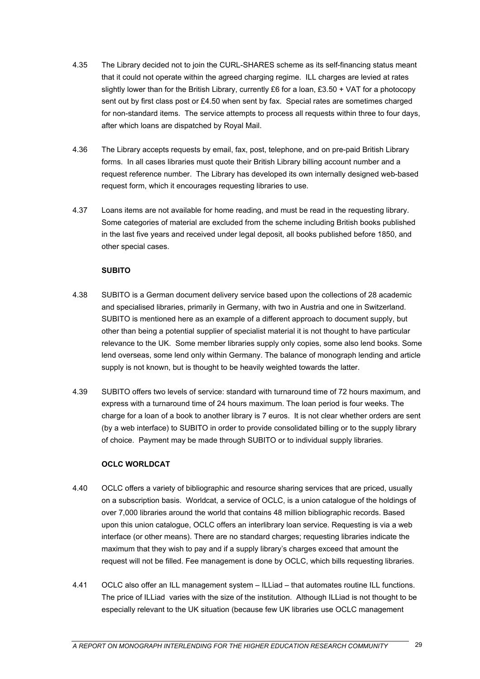- 4.35 The Library decided not to join the CURL-SHARES scheme as its self-financing status meant that it could not operate within the agreed charging regime. ILL charges are levied at rates slightly lower than for the British Library, currently £6 for a loan, £3.50 + VAT for a photocopy sent out by first class post or £4.50 when sent by fax. Special rates are sometimes charged for non-standard items. The service attempts to process all requests within three to four days, after which loans are dispatched by Royal Mail.
- 4.36 The Library accepts requests by email, fax, post, telephone, and on pre-paid British Library forms. In all cases libraries must quote their British Library billing account number and a request reference number. The Library has developed its own internally designed web-based request form, which it encourages requesting libraries to use.
- 4.37 Loans items are not available for home reading, and must be read in the requesting library. Some categories of material are excluded from the scheme including British books published in the last five years and received under legal deposit, all books published before 1850, and other special cases.

### **SUBITO**

- 4.38 SUBITO is a German document delivery service based upon the collections of 28 academic and specialised libraries, primarily in Germany, with two in Austria and one in Switzerland. SUBITO is mentioned here as an example of a different approach to document supply, but other than being a potential supplier of specialist material it is not thought to have particular relevance to the UK. Some member libraries supply only copies, some also lend books. Some lend overseas, some lend only within Germany. The balance of monograph lending and article supply is not known, but is thought to be heavily weighted towards the latter.
- 4.39 SUBITO offers two levels of service: standard with turnaround time of 72 hours maximum, and express with a turnaround time of 24 hours maximum. The loan period is four weeks. The charge for a loan of a book to another library is 7 euros. It is not clear whether orders are sent (by a web interface) to SUBITO in order to provide consolidated billing or to the supply library of choice. Payment may be made through SUBITO or to individual supply libraries.

### **OCLC WORLDCAT**

- 4.40 OCLC offers a variety of bibliographic and resource sharing services that are priced, usually on a subscription basis. Worldcat, a service of OCLC, is a union catalogue of the holdings of over 7,000 libraries around the world that contains 48 million bibliographic records. Based upon this union catalogue, OCLC offers an interlibrary loan service. Requesting is via a web interface (or other means). There are no standard charges; requesting libraries indicate the maximum that they wish to pay and if a supply library's charges exceed that amount the request will not be filled. Fee management is done by OCLC, which bills requesting libraries.
- 4.41 OCLC also offer an ILL management system ILLiad that automates routine ILL functions. The price of ILLiad varies with the size of the institution. Although ILLiad is not thought to be especially relevant to the UK situation (because few UK libraries use OCLC management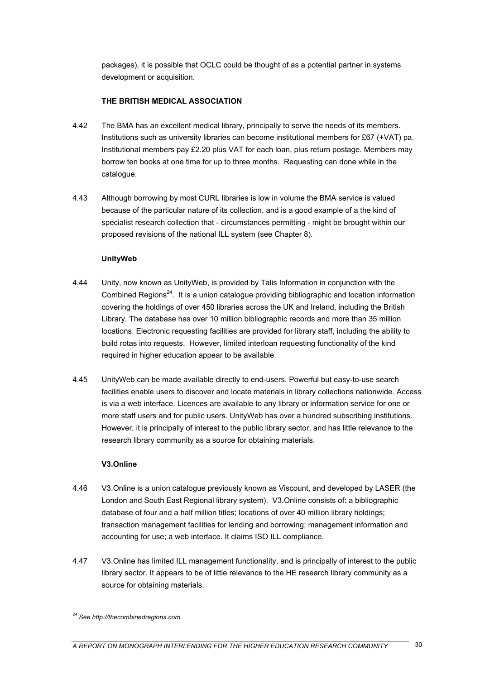packages), it is possible that OCLC could be thought of as a potential partner in systems development or acquisition.

## **THE BRITISH MEDICAL ASSOCIATION**

- 4.42 The BMA has an excellent medical library, principally to serve the needs of its members. Institutions such as university libraries can become institutional members for £67 (+VAT) pa. Institutional members pay £2.20 plus VAT for each loan, plus return postage. Members may borrow ten books at one time for up to three months. Requesting can done while in the catalogue.
- 4.43 Although borrowing by most CURL libraries is low in volume the BMA service is valued because of the particular nature of its collection, and is a good example of a the kind of specialist research collection that - circumstances permitting - might be brought within our proposed revisions of the national ILL system (see Chapter 8).

### **UnityWeb**

- 4.44 Unity, now known as UnityWeb, is provided by Talis Information in conjunction with the Combined Regions<sup>24</sup>. It is a union catalogue providing bibliographic and location information covering the holdings of over 450 libraries across the UK and Ireland, including the British Library. The database has over 10 million bibliographic records and more than 35 million locations. Electronic requesting facilities are provided for library staff, including the ability to build rotas into requests. However, limited interloan requesting functionality of the kind required in higher education appear to be available.
- 4.45 UnityWeb can be made available directly to end-users. Powerful but easy-to-use search facilities enable users to discover and locate materials in library collections nationwide. Access is via a web interface. Licences are available to any library or information service for one or more staff users and for public users. UnityWeb has over a hundred subscribing institutions. However, it is principally of interest to the public library sector, and has little relevance to the research library community as a source for obtaining materials.

### **V3.Online**

- 4.46 V3.Online is a union catalogue previously known as Viscount, and developed by LASER (the London and South East Regional library system). V3.Online consists of: a bibliographic database of four and a half million titles; locations of over 40 million library holdings; transaction management facilities for lending and borrowing; management information and accounting for use; a web interface. It claims ISO ILL compliance.
- 4.47 V3.Online has limited ILL management functionality, and is principally of interest to the public library sector. It appears to be of little relevance to the HE research library community as a source for obtaining materials.

<span id="page-30-0"></span>*<sup>24</sup> See [http://thecombinedregions.com.](http://thecombinedregions.com/)*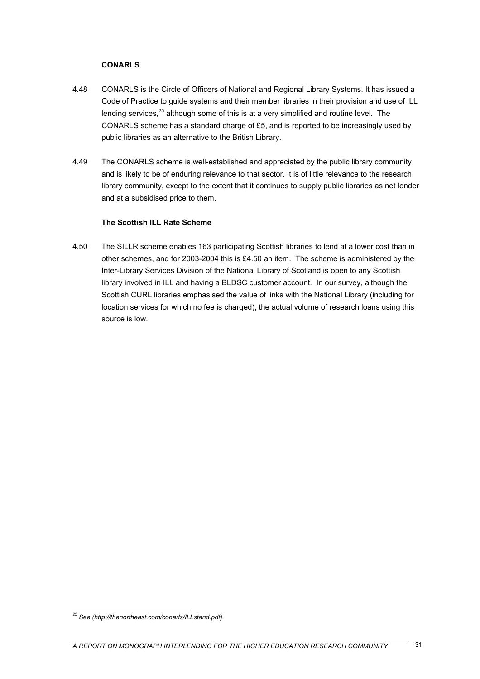### **CONARLS**

- 4.48 CONARLS is the Circle of Officers of National and Regional Library Systems. It has issued a Code of Practice to guide systems and their member libraries in their provision and use of ILL lending services.<sup>25</sup> although some of this is at a very simplified and routine level. The CONARLS scheme has a standard charge of £5, and is reported to be increasingly used by public libraries as an alternative to the British Library.
- 4.49 The CONARLS scheme is well-established and appreciated by the public library community and is likely to be of enduring relevance to that sector. It is of little relevance to the research library community, except to the extent that it continues to supply public libraries as net lender and at a subsidised price to them.

### **The Scottish ILL Rate Scheme**

4.50 The SILLR scheme enables 163 participating Scottish libraries to lend at a lower cost than in other schemes, and for 2003-2004 this is £4.50 an item. The scheme is administered by the Inter-Library Services Division of the National Library of Scotland is open to any Scottish library involved in ILL and having a BLDSC customer account. In our survey, although the Scottish CURL libraries emphasised the value of links with the National Library (including for location services for which no fee is charged), the actual volume of research loans using this source is low.

<span id="page-31-0"></span>*<sup>25</sup> See ([http://thenortheast.com/conarls/ILLstand.pdf\)](http://thenortheast.com/conarls/ILLstand.pdf).*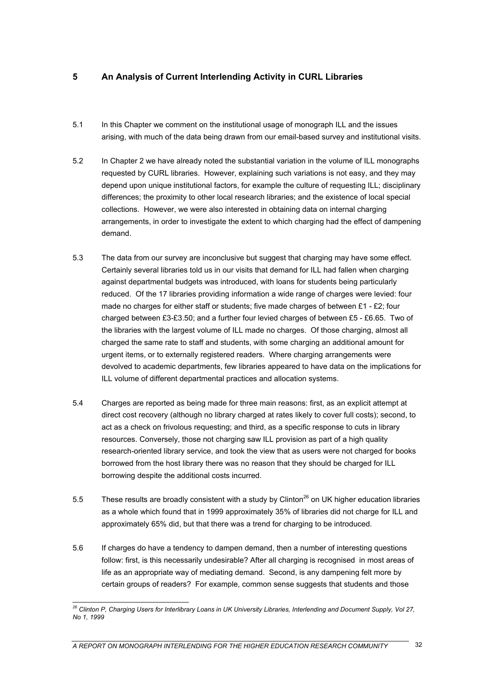# **5 An Analysis of Current Interlending Activity in CURL Libraries**

- 5.1 In this Chapter we comment on the institutional usage of monograph ILL and the issues arising, with much of the data being drawn from our email-based survey and institutional visits.
- 5.2 In Chapter 2 we have already noted the substantial variation in the volume of ILL monographs requested by CURL libraries. However, explaining such variations is not easy, and they may depend upon unique institutional factors, for example the culture of requesting ILL; disciplinary differences; the proximity to other local research libraries; and the existence of local special collections. However, we were also interested in obtaining data on internal charging arrangements, in order to investigate the extent to which charging had the effect of dampening demand.
- 5.3 The data from our survey are inconclusive but suggest that charging may have some effect. Certainly several libraries told us in our visits that demand for ILL had fallen when charging against departmental budgets was introduced, with loans for students being particularly reduced. Of the 17 libraries providing information a wide range of charges were levied: four made no charges for either staff or students; five made charges of between £1 - £2; four charged between £3-£3.50; and a further four levied charges of between £5 - £6.65. Two of the libraries with the largest volume of ILL made no charges. Of those charging, almost all charged the same rate to staff and students, with some charging an additional amount for urgent items, or to externally registered readers. Where charging arrangements were devolved to academic departments, few libraries appeared to have data on the implications for ILL volume of different departmental practices and allocation systems.
- 5.4 Charges are reported as being made for three main reasons: first, as an explicit attempt at direct cost recovery (although no library charged at rates likely to cover full costs); second, to act as a check on frivolous requesting; and third, as a specific response to cuts in library resources. Conversely, those not charging saw ILL provision as part of a high quality research-oriented library service, and took the view that as users were not charged for books borrowed from the host library there was no reason that they should be charged for ILL borrowing despite the additional costs incurred.
- 5.5 These results are broadly consistent with a study by Clinton<sup>26</sup> on UK higher education libraries as a whole which found that in 1999 approximately 35% of libraries did not charge for ILL and approximately 65% did, but that there was a trend for charging to be introduced.
- 5.6 If charges do have a tendency to dampen demand, then a number of interesting questions follow: first, is this necessarily undesirable? After all charging is recognised in most areas of life as an appropriate way of mediating demand. Second, is any dampening felt more by certain groups of readers? For example, common sense suggests that students and those

<span id="page-32-0"></span>*26 Clinton P, Charging Users for Interlibrary Loans in UK University Libraries, Interlending and Document Supply, Vol 27, No 1, 1999*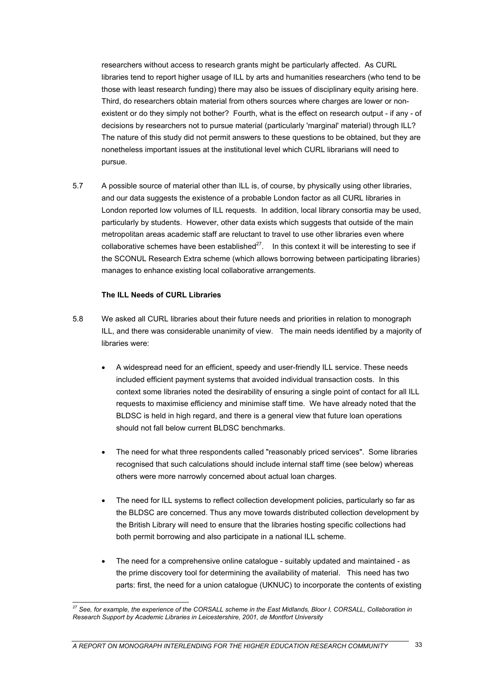researchers without access to research grants might be particularly affected. As CURL libraries tend to report higher usage of ILL by arts and humanities researchers (who tend to be those with least research funding) there may also be issues of disciplinary equity arising here. Third, do researchers obtain material from others sources where charges are lower or nonexistent or do they simply not bother? Fourth, what is the effect on research output - if any - of decisions by researchers not to pursue material (particularly 'marginal' material) through ILL? The nature of this study did not permit answers to these questions to be obtained, but they are nonetheless important issues at the institutional level which CURL librarians will need to pursue.

5.7 A possible source of material other than ILL is, of course, by physically using other libraries, and our data suggests the existence of a probable London factor as all CURL libraries in London reported low volumes of ILL requests. In addition, local library consortia may be used, particularly by students. However, other data exists which suggests that outside of the main metropolitan areas academic staff are reluctant to travel to use other libraries even where collaborative schemes have been established $^{27}$ . In this context it will be interesting to see if the SCONUL Research Extra scheme (which allows borrowing between participating libraries) manages to enhance existing local collaborative arrangements.

#### **The ILL Needs of CURL Libraries**

- 5.8 We asked all CURL libraries about their future needs and priorities in relation to monograph ILL, and there was considerable unanimity of view. The main needs identified by a majority of libraries were:
	- A widespread need for an efficient, speedy and user-friendly ILL service. These needs included efficient payment systems that avoided individual transaction costs. In this context some libraries noted the desirability of ensuring a single point of contact for all ILL requests to maximise efficiency and minimise staff time. We have already noted that the BLDSC is held in high regard, and there is a general view that future loan operations should not fall below current BLDSC benchmarks.
	- The need for what three respondents called "reasonably priced services". Some libraries recognised that such calculations should include internal staff time (see below) whereas others were more narrowly concerned about actual loan charges.
	- The need for ILL systems to reflect collection development policies, particularly so far as the BLDSC are concerned. Thus any move towards distributed collection development by the British Library will need to ensure that the libraries hosting specific collections had both permit borrowing and also participate in a national ILL scheme.
	- The need for a comprehensive online catalogue suitably updated and maintained as the prime discovery tool for determining the availability of material. This need has two parts: first, the need for a union catalogue (UKNUC) to incorporate the contents of existing

<span id="page-33-0"></span>*27 See, for example, the experience of the CORSALL scheme in the East Midlands, Bloor I, CORSALL, Collaboration in Research Support by Academic Libraries in Leicestershire, 2001, de Montfort University*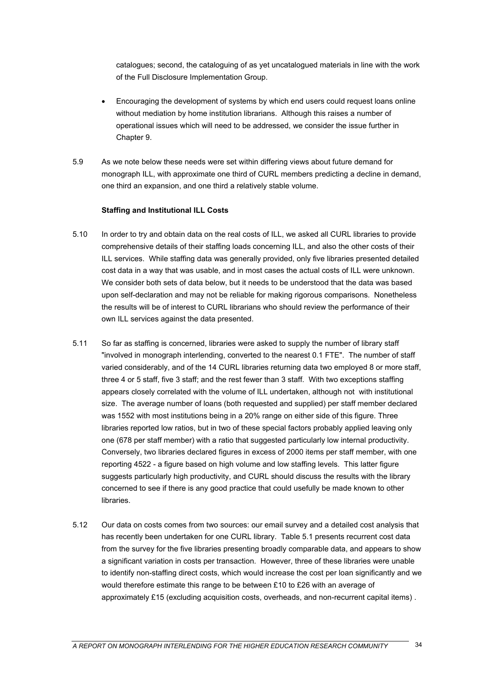catalogues; second, the cataloguing of as yet uncatalogued materials in line with the work of the Full Disclosure Implementation Group.

- Encouraging the development of systems by which end users could request loans online without mediation by home institution librarians. Although this raises a number of operational issues which will need to be addressed, we consider the issue further in Chapter 9.
- 5.9 As we note below these needs were set within differing views about future demand for monograph ILL, with approximate one third of CURL members predicting a decline in demand, one third an expansion, and one third a relatively stable volume.

### **Staffing and Institutional ILL Costs**

- 5.10 In order to try and obtain data on the real costs of ILL, we asked all CURL libraries to provide comprehensive details of their staffing loads concerning ILL, and also the other costs of their ILL services. While staffing data was generally provided, only five libraries presented detailed cost data in a way that was usable, and in most cases the actual costs of ILL were unknown. We consider both sets of data below, but it needs to be understood that the data was based upon self-declaration and may not be reliable for making rigorous comparisons. Nonetheless the results will be of interest to CURL librarians who should review the performance of their own ILL services against the data presented.
- 5.11 So far as staffing is concerned, libraries were asked to supply the number of library staff "involved in monograph interlending, converted to the nearest 0.1 FTE". The number of staff varied considerably, and of the 14 CURL libraries returning data two employed 8 or more staff, three 4 or 5 staff, five 3 staff; and the rest fewer than 3 staff. With two exceptions staffing appears closely correlated with the volume of ILL undertaken, although not with institutional size. The average number of loans (both requested and supplied) per staff member declared was 1552 with most institutions being in a 20% range on either side of this figure. Three libraries reported low ratios, but in two of these special factors probably applied leaving only one (678 per staff member) with a ratio that suggested particularly low internal productivity. Conversely, two libraries declared figures in excess of 2000 items per staff member, with one reporting 4522 - a figure based on high volume and low staffing levels. This latter figure suggests particularly high productivity, and CURL should discuss the results with the library concerned to see if there is any good practice that could usefully be made known to other libraries.
- 5.12 Our data on costs comes from two sources: our email survey and a detailed cost analysis that has recently been undertaken for one CURL library. Table 5.1 presents recurrent cost data from the survey for the five libraries presenting broadly comparable data, and appears to show a significant variation in costs per transaction. However, three of these libraries were unable to identify non-staffing direct costs, which would increase the cost per loan significantly and we would therefore estimate this range to be between £10 to £26 with an average of approximately £15 (excluding acquisition costs, overheads, and non-recurrent capital items) .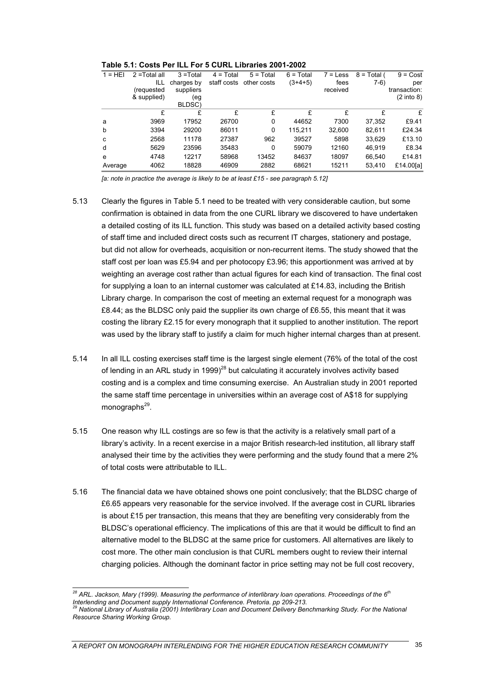| $= HEI$ | $2 = Total all$<br>ILL | $3 = Total$<br>charges by | $4 = Total$<br>staff costs | $5 = Total$<br>other costs | $6 = Total$<br>$(3+4+5)$ | $7 =$ Less<br>fees | $8 = Total$<br>$7-6)$ | $9 = Cost$<br>per     |
|---------|------------------------|---------------------------|----------------------------|----------------------------|--------------------------|--------------------|-----------------------|-----------------------|
|         | (requested             | suppliers                 |                            |                            |                          | received           |                       | transaction:          |
|         | & supplied)            | (eg                       |                            |                            |                          |                    |                       | $(2 \text{ into } 8)$ |
|         |                        | BLDSC)                    |                            |                            |                          |                    |                       |                       |
|         | £                      | £                         | £                          | £                          | £                        | £                  | £                     | £                     |
| a       | 3969                   | 17952                     | 26700                      | 0                          | 44652                    | 7300               | 37,352                | £9.41                 |
| b       | 3394                   | 29200                     | 86011                      | 0                          | 115.211                  | 32.600             | 82.611                | £24.34                |
| C       | 2568                   | 11178                     | 27387                      | 962                        | 39527                    | 5898               | 33.629                | £13.10                |
| d       | 5629                   | 23596                     | 35483                      | 0                          | 59079                    | 12160              | 46.919                | £8.34                 |
| e       | 4748                   | 12217                     | 58968                      | 13452                      | 84637                    | 18097              | 66.540                | £14.81                |
| Average | 4062                   | 18828                     | 46909                      | 2882                       | 68621                    | 15211              | 53.410                | £14.00[a]             |
|         |                        |                           |                            |                            |                          |                    |                       |                       |

**Table 5.1: Costs Per ILL For 5 CURL Libraries 2001-2002**

[a: note in practice the average is likely to be at least £15 - see paragraph 5.12]

- 5.13 Clearly the figures in Table 5.1 need to be treated with very considerable caution, but some confirmation is obtained in data from the one CURL library we discovered to have undertaken a detailed costing of its ILL function. This study was based on a detailed activity based costing of staff time and included direct costs such as recurrent IT charges, stationery and postage, but did not allow for overheads, acquisition or non-recurrent items. The study showed that the staff cost per loan was £5.94 and per photocopy £3.96; this apportionment was arrived at by weighting an average cost rather than actual figures for each kind of transaction. The final cost for supplying a loan to an internal customer was calculated at £14.83, including the British Library charge. In comparison the cost of meeting an external request for a monograph was £8.44; as the BLDSC only paid the supplier its own charge of £6.55, this meant that it was costing the library £2.15 for every monograph that it supplied to another institution. The report was used by the library staff to justify a claim for much higher internal charges than at present.
- 5.14 In all ILL costing exercises staff time is the largest single element (76% of the total of the cost of lending in an ARL study in 1999) $^{28}$  but calculating it accurately involves activity based costing and is a complex and time consuming exercise. An Australian study in 2001 reported the same staff time percentage in universities within an average cost of A\$18 for supplying monographs $^{29}$ .
- 5.15 One reason why ILL costings are so few is that the activity is a relatively small part of a library's activity. In a recent exercise in a major British research-led institution, all library staff analysed their time by the activities they were performing and the study found that a mere 2% of total costs were attributable to ILL.
- 5.16 The financial data we have obtained shows one point conclusively; that the BLDSC charge of £6.65 appears very reasonable for the service involved. If the average cost in CURL libraries is about  $£15$  per transaction, this means that they are benefiting very considerably from the BLDSC's operational efficiency. The implications of this are that it would be difficult to find an alternative model to the BLDSC at the same price for customers. All alternatives are likely to cost more. The other main conclusion is that CURL members ought to review their internal charging policies. Although the dominant factor in price setting may not be full cost recovery,

<span id="page-35-0"></span><sup>&</sup>lt;sup>28</sup> ARL. Jackson, Mary (1999). Measuring the performance of interlibrary loan operations. Proceedings of the 6<sup>th</sup> *Interlending and Document supply International Conference. Pretoria. pp 209-213. 29 National Library of Australia (2001) Interlibrary Loan and Document Delivery Benchmarking Study. For the National* 

<span id="page-35-1"></span>*Resource Sharing Working Group.*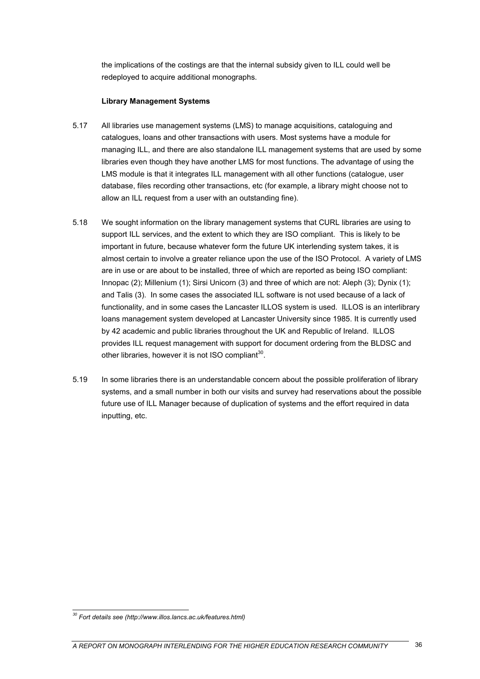the implications of the costings are that the internal subsidy given to ILL could well be redeployed to acquire additional monographs.

### **Library Management Systems**

- 5.17 All libraries use management systems (LMS) to manage acquisitions, cataloguing and catalogues, loans and other transactions with users. Most systems have a module for managing ILL, and there are also standalone ILL management systems that are used by some libraries even though they have another LMS for most functions. The advantage of using the LMS module is that it integrates ILL management with all other functions (catalogue, user database, files recording other transactions, etc (for example, a library might choose not to allow an ILL request from a user with an outstanding fine).
- 5.18 We sought information on the library management systems that CURL libraries are using to support ILL services, and the extent to which they are ISO compliant. This is likely to be important in future, because whatever form the future UK interlending system takes, it is almost certain to involve a greater reliance upon the use of the ISO Protocol. A variety of LMS are in use or are about to be installed, three of which are reported as being ISO compliant: Innopac (2); Millenium (1); Sirsi Unicorn (3) and three of which are not: Aleph (3); Dynix (1); and Talis (3). In some cases the associated ILL software is not used because of a lack of functionality, and in some cases the Lancaster ILLOS system is used. ILLOS is an interlibrary loans management system developed at Lancaster University since 1985. It is currently used by 42 academic and public libraries throughout the UK and Republic of Ireland. ILLOS provides ILL request management with support for document ordering from the BLDSC and other libraries, however it is not ISO compliant<sup>30</sup>.
- 5.19 In some libraries there is an understandable concern about the possible proliferation of library systems, and a small number in both our visits and survey had reservations about the possible future use of ILL Manager because of duplication of systems and the effort required in data inputting, etc.

<span id="page-36-0"></span>*30 Fort details see [\(http://www.illos.lancs.ac.uk/features.html\)](http://www.illos.lancs.ac.uk/features.html)*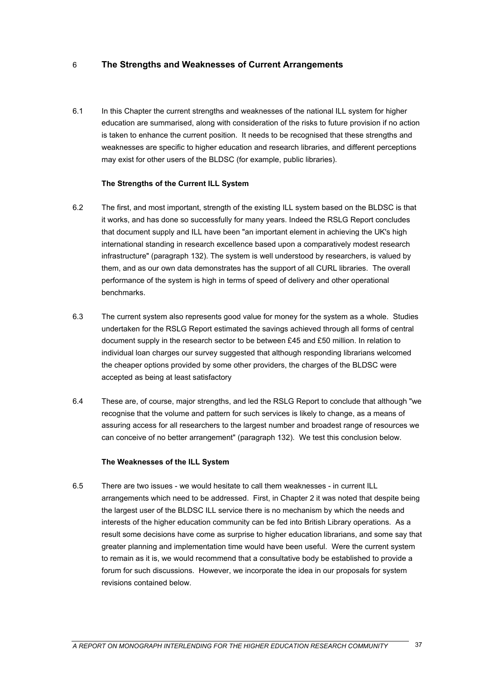# 6 **The Strengths and Weaknesses of Current Arrangements**

6.1 In this Chapter the current strengths and weaknesses of the national ILL system for higher education are summarised, along with consideration of the risks to future provision if no action is taken to enhance the current position. It needs to be recognised that these strengths and weaknesses are specific to higher education and research libraries, and different perceptions may exist for other users of the BLDSC (for example, public libraries).

#### **The Strengths of the Current ILL System**

- 6.2 The first, and most important, strength of the existing ILL system based on the BLDSC is that it works, and has done so successfully for many years. Indeed the RSLG Report concludes that document supply and ILL have been "an important element in achieving the UK's high international standing in research excellence based upon a comparatively modest research infrastructure" (paragraph 132). The system is well understood by researchers, is valued by them, and as our own data demonstrates has the support of all CURL libraries. The overall performance of the system is high in terms of speed of delivery and other operational benchmarks.
- 6.3 The current system also represents good value for money for the system as a whole. Studies undertaken for the RSLG Report estimated the savings achieved through all forms of central document supply in the research sector to be between £45 and £50 million. In relation to individual loan charges our survey suggested that although responding librarians welcomed the cheaper options provided by some other providers, the charges of the BLDSC were accepted as being at least satisfactory
- 6.4 These are, of course, major strengths, and led the RSLG Report to conclude that although "we recognise that the volume and pattern for such services is likely to change, as a means of assuring access for all researchers to the largest number and broadest range of resources we can conceive of no better arrangement" (paragraph 132). We test this conclusion below.

#### **The Weaknesses of the ILL System**

6.5 There are two issues - we would hesitate to call them weaknesses - in current ILL arrangements which need to be addressed. First, in Chapter 2 it was noted that despite being the largest user of the BLDSC ILL service there is no mechanism by which the needs and interests of the higher education community can be fed into British Library operations. As a result some decisions have come as surprise to higher education librarians, and some say that greater planning and implementation time would have been useful. Were the current system to remain as it is, we would recommend that a consultative body be established to provide a forum for such discussions. However, we incorporate the idea in our proposals for system revisions contained below.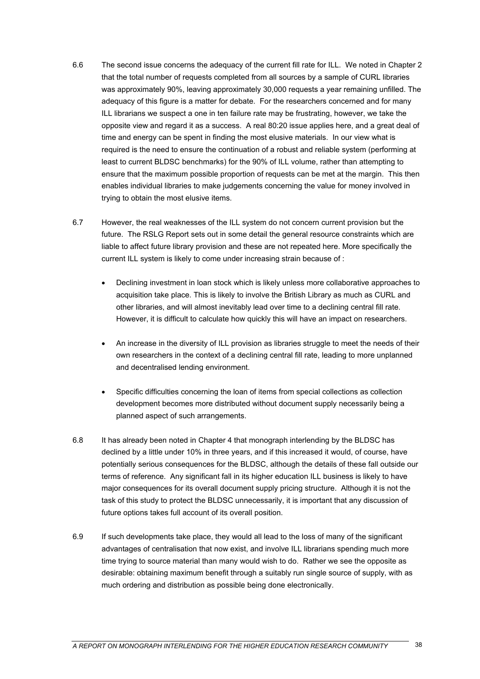- 6.6 The second issue concerns the adequacy of the current fill rate for ILL. We noted in Chapter 2 that the total number of requests completed from all sources by a sample of CURL libraries was approximately 90%, leaving approximately 30,000 requests a year remaining unfilled. The adequacy of this figure is a matter for debate. For the researchers concerned and for many ILL librarians we suspect a one in ten failure rate may be frustrating, however, we take the opposite view and regard it as a success. A real 80:20 issue applies here, and a great deal of time and energy can be spent in finding the most elusive materials. In our view what is required is the need to ensure the continuation of a robust and reliable system (performing at least to current BLDSC benchmarks) for the 90% of ILL volume, rather than attempting to ensure that the maximum possible proportion of requests can be met at the margin. This then enables individual libraries to make judgements concerning the value for money involved in trying to obtain the most elusive items.
- 6.7 However, the real weaknesses of the ILL system do not concern current provision but the future. The RSLG Report sets out in some detail the general resource constraints which are liable to affect future library provision and these are not repeated here. More specifically the current ILL system is likely to come under increasing strain because of :
	- Declining investment in loan stock which is likely unless more collaborative approaches to acquisition take place. This is likely to involve the British Library as much as CURL and other libraries, and will almost inevitably lead over time to a declining central fill rate. However, it is difficult to calculate how quickly this will have an impact on researchers.
	- An increase in the diversity of ILL provision as libraries struggle to meet the needs of their own researchers in the context of a declining central fill rate, leading to more unplanned and decentralised lending environment.
	- Specific difficulties concerning the loan of items from special collections as collection development becomes more distributed without document supply necessarily being a planned aspect of such arrangements.
- 6.8 It has already been noted in Chapter 4 that monograph interlending by the BLDSC has declined by a little under 10% in three years, and if this increased it would, of course, have potentially serious consequences for the BLDSC, although the details of these fall outside our terms of reference. Any significant fall in its higher education ILL business is likely to have major consequences for its overall document supply pricing structure. Although it is not the task of this study to protect the BLDSC unnecessarily, it is important that any discussion of future options takes full account of its overall position.
- 6.9 If such developments take place, they would all lead to the loss of many of the significant advantages of centralisation that now exist, and involve ILL librarians spending much more time trying to source material than many would wish to do. Rather we see the opposite as desirable: obtaining maximum benefit through a suitably run single source of supply, with as much ordering and distribution as possible being done electronically.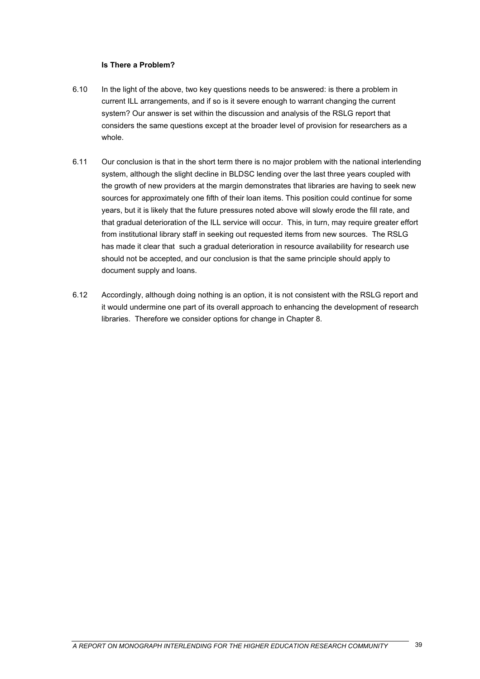### **Is There a Problem?**

- 6.10 In the light of the above, two key questions needs to be answered: is there a problem in current ILL arrangements, and if so is it severe enough to warrant changing the current system? Our answer is set within the discussion and analysis of the RSLG report that considers the same questions except at the broader level of provision for researchers as a whole.
- 6.11 Our conclusion is that in the short term there is no major problem with the national interlending system, although the slight decline in BLDSC lending over the last three years coupled with the growth of new providers at the margin demonstrates that libraries are having to seek new sources for approximately one fifth of their loan items. This position could continue for some years, but it is likely that the future pressures noted above will slowly erode the fill rate, and that gradual deterioration of the ILL service will occur. This, in turn, may require greater effort from institutional library staff in seeking out requested items from new sources. The RSLG has made it clear that such a gradual deterioration in resource availability for research use should not be accepted, and our conclusion is that the same principle should apply to document supply and loans.
- 6.12 Accordingly, although doing nothing is an option, it is not consistent with the RSLG report and it would undermine one part of its overall approach to enhancing the development of research libraries. Therefore we consider options for change in Chapter 8.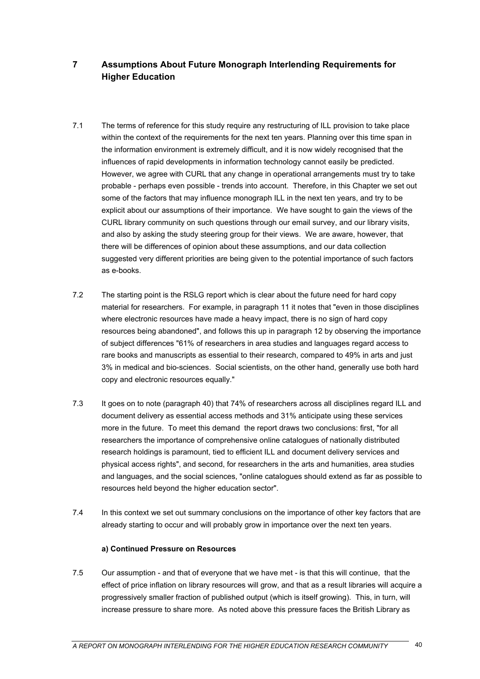# **7 Assumptions About Future Monograph Interlending Requirements for Higher Education**

- 7.1 The terms of reference for this study require any restructuring of ILL provision to take place within the context of the requirements for the next ten years. Planning over this time span in the information environment is extremely difficult, and it is now widely recognised that the influences of rapid developments in information technology cannot easily be predicted. However, we agree with CURL that any change in operational arrangements must try to take probable - perhaps even possible - trends into account. Therefore, in this Chapter we set out some of the factors that may influence monograph ILL in the next ten years, and try to be explicit about our assumptions of their importance. We have sought to gain the views of the CURL library community on such questions through our email survey, and our library visits, and also by asking the study steering group for their views. We are aware, however, that there will be differences of opinion about these assumptions, and our data collection suggested very different priorities are being given to the potential importance of such factors as e-books.
- 7.2 The starting point is the RSLG report which is clear about the future need for hard copy material for researchers. For example, in paragraph 11 it notes that "even in those disciplines where electronic resources have made a heavy impact, there is no sign of hard copy resources being abandoned", and follows this up in paragraph 12 by observing the importance of subject differences "61% of researchers in area studies and languages regard access to rare books and manuscripts as essential to their research, compared to 49% in arts and just 3% in medical and bio-sciences. Social scientists, on the other hand, generally use both hard copy and electronic resources equally."
- 7.3 It goes on to note (paragraph 40) that 74% of researchers across all disciplines regard ILL and document delivery as essential access methods and 31% anticipate using these services more in the future. To meet this demand the report draws two conclusions: first, "for all researchers the importance of comprehensive online catalogues of nationally distributed research holdings is paramount, tied to efficient ILL and document delivery services and physical access rights", and second, for researchers in the arts and humanities, area studies and languages, and the social sciences, "online catalogues should extend as far as possible to resources held beyond the higher education sector".
- 7.4 In this context we set out summary conclusions on the importance of other key factors that are already starting to occur and will probably grow in importance over the next ten years.

### **a) Continued Pressure on Resources**

7.5 Our assumption - and that of everyone that we have met - is that this will continue, that the effect of price inflation on library resources will grow, and that as a result libraries will acquire a progressively smaller fraction of published output (which is itself growing). This, in turn, will increase pressure to share more. As noted above this pressure faces the British Library as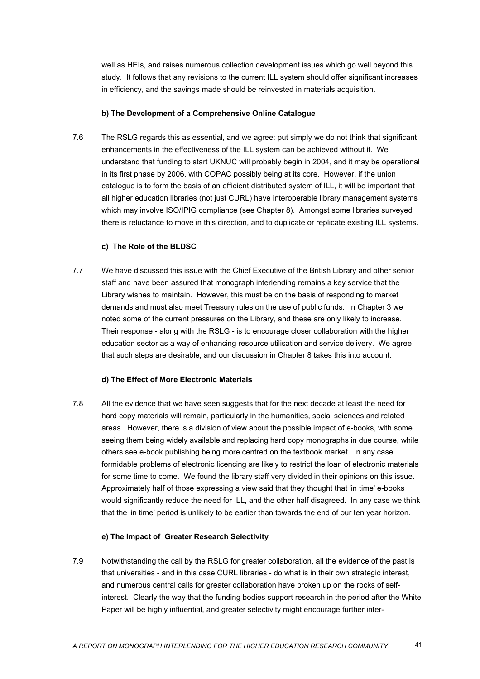well as HEIs, and raises numerous collection development issues which go well beyond this study. It follows that any revisions to the current ILL system should offer significant increases in efficiency, and the savings made should be reinvested in materials acquisition.

### **b) The Development of a Comprehensive Online Catalogue**

7.6 The RSLG regards this as essential, and we agree: put simply we do not think that significant enhancements in the effectiveness of the ILL system can be achieved without it. We understand that funding to start UKNUC will probably begin in 2004, and it may be operational in its first phase by 2006, with COPAC possibly being at its core. However, if the union catalogue is to form the basis of an efficient distributed system of ILL, it will be important that all higher education libraries (not just CURL) have interoperable library management systems which may involve ISO/IPIG compliance (see Chapter 8). Amongst some libraries surveyed there is reluctance to move in this direction, and to duplicate or replicate existing ILL systems.

## **c) The Role of the BLDSC**

7.7 We have discussed this issue with the Chief Executive of the British Library and other senior staff and have been assured that monograph interlending remains a key service that the Library wishes to maintain. However, this must be on the basis of responding to market demands and must also meet Treasury rules on the use of public funds. In Chapter 3 we noted some of the current pressures on the Library, and these are only likely to increase. Their response - along with the RSLG - is to encourage closer collaboration with the higher education sector as a way of enhancing resource utilisation and service delivery. We agree that such steps are desirable, and our discussion in Chapter 8 takes this into account.

### **d) The Effect of More Electronic Materials**

7.8 All the evidence that we have seen suggests that for the next decade at least the need for hard copy materials will remain, particularly in the humanities, social sciences and related areas. However, there is a division of view about the possible impact of e-books, with some seeing them being widely available and replacing hard copy monographs in due course, while others see e-book publishing being more centred on the textbook market. In any case formidable problems of electronic licencing are likely to restrict the loan of electronic materials for some time to come. We found the library staff very divided in their opinions on this issue. Approximately half of those expressing a view said that they thought that 'in time' e-books would significantly reduce the need for ILL, and the other half disagreed. In any case we think that the 'in time' period is unlikely to be earlier than towards the end of our ten year horizon.

### **e) The Impact of Greater Research Selectivity**

7.9 Notwithstanding the call by the RSLG for greater collaboration, all the evidence of the past is that universities - and in this case CURL libraries - do what is in their own strategic interest, and numerous central calls for greater collaboration have broken up on the rocks of selfinterest. Clearly the way that the funding bodies support research in the period after the White Paper will be highly influential, and greater selectivity might encourage further inter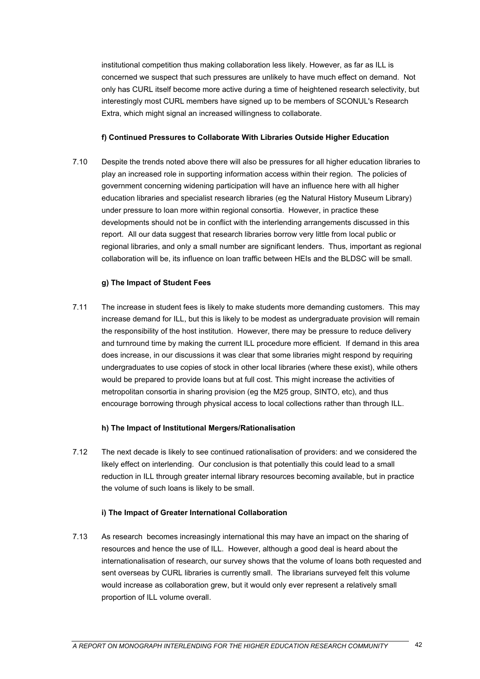institutional competition thus making collaboration less likely. However, as far as ILL is concerned we suspect that such pressures are unlikely to have much effect on demand. Not only has CURL itself become more active during a time of heightened research selectivity, but interestingly most CURL members have signed up to be members of SCONUL's Research Extra, which might signal an increased willingness to collaborate.

### **f) Continued Pressures to Collaborate With Libraries Outside Higher Education**

7.10 Despite the trends noted above there will also be pressures for all higher education libraries to play an increased role in supporting information access within their region. The policies of government concerning widening participation will have an influence here with all higher education libraries and specialist research libraries (eg the Natural History Museum Library) under pressure to loan more within regional consortia. However, in practice these developments should not be in conflict with the interlending arrangements discussed in this report. All our data suggest that research libraries borrow very little from local public or regional libraries, and only a small number are significant lenders. Thus, important as regional collaboration will be, its influence on loan traffic between HEIs and the BLDSC will be small.

#### **g) The Impact of Student Fees**

7.11 The increase in student fees is likely to make students more demanding customers. This may increase demand for ILL, but this is likely to be modest as undergraduate provision will remain the responsibility of the host institution. However, there may be pressure to reduce delivery and turnround time by making the current ILL procedure more efficient. If demand in this area does increase, in our discussions it was clear that some libraries might respond by requiring undergraduates to use copies of stock in other local libraries (where these exist), while others would be prepared to provide loans but at full cost. This might increase the activities of metropolitan consortia in sharing provision (eg the M25 group, SINTO, etc), and thus encourage borrowing through physical access to local collections rather than through ILL.

#### **h) The Impact of Institutional Mergers/Rationalisation**

7.12 The next decade is likely to see continued rationalisation of providers: and we considered the likely effect on interlending. Our conclusion is that potentially this could lead to a small reduction in ILL through greater internal library resources becoming available, but in practice the volume of such loans is likely to be small.

#### **i) The Impact of Greater International Collaboration**

7.13 As research becomes increasingly international this may have an impact on the sharing of resources and hence the use of ILL. However, although a good deal is heard about the internationalisation of research, our survey shows that the volume of loans both requested and sent overseas by CURL libraries is currently small. The librarians surveyed felt this volume would increase as collaboration grew, but it would only ever represent a relatively small proportion of ILL volume overall.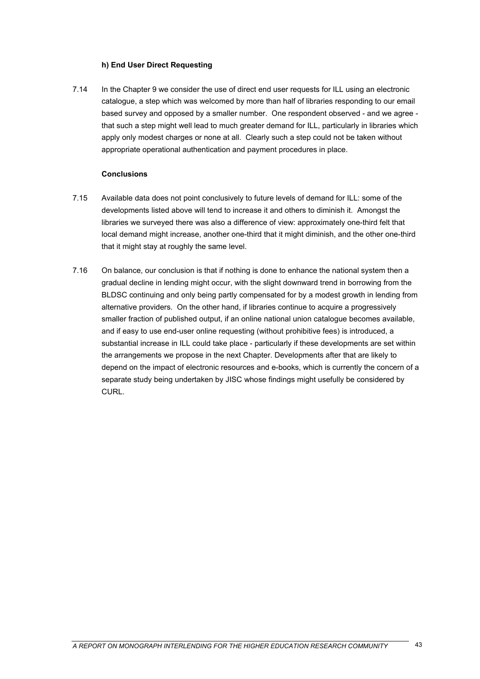#### **h) End User Direct Requesting**

7.14 In the Chapter 9 we consider the use of direct end user requests for ILL using an electronic catalogue, a step which was welcomed by more than half of libraries responding to our email based survey and opposed by a smaller number. One respondent observed - and we agree that such a step might well lead to much greater demand for ILL, particularly in libraries which apply only modest charges or none at all. Clearly such a step could not be taken without appropriate operational authentication and payment procedures in place.

#### **Conclusions**

- 7.15 Available data does not point conclusively to future levels of demand for ILL: some of the developments listed above will tend to increase it and others to diminish it. Amongst the libraries we surveyed there was also a difference of view: approximately one-third felt that local demand might increase, another one-third that it might diminish, and the other one-third that it might stay at roughly the same level.
- 7.16 On balance, our conclusion is that if nothing is done to enhance the national system then a gradual decline in lending might occur, with the slight downward trend in borrowing from the BLDSC continuing and only being partly compensated for by a modest growth in lending from alternative providers. On the other hand, if libraries continue to acquire a progressively smaller fraction of published output, if an online national union catalogue becomes available, and if easy to use end-user online requesting (without prohibitive fees) is introduced, a substantial increase in ILL could take place - particularly if these developments are set within the arrangements we propose in the next Chapter. Developments after that are likely to depend on the impact of electronic resources and e-books, which is currently the concern of a separate study being undertaken by JISC whose findings might usefully be considered by CURL.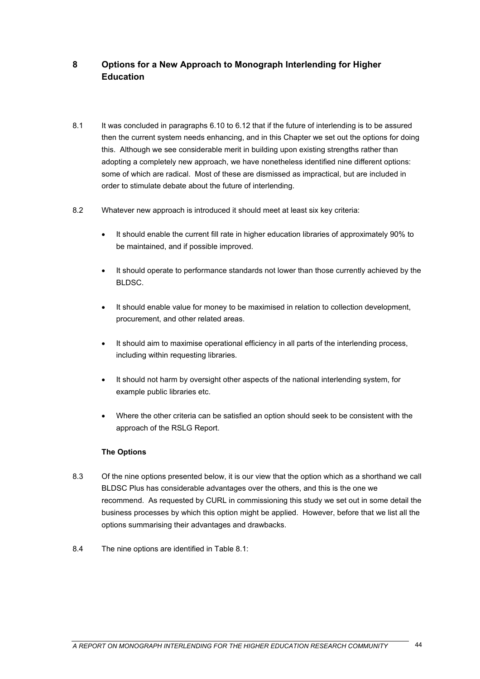# **8 Options for a New Approach to Monograph Interlending for Higher Education**

- 8.1 It was concluded in paragraphs 6.10 to 6.12 that if the future of interlending is to be assured then the current system needs enhancing, and in this Chapter we set out the options for doing this. Although we see considerable merit in building upon existing strengths rather than adopting a completely new approach, we have nonetheless identified nine different options: some of which are radical. Most of these are dismissed as impractical, but are included in order to stimulate debate about the future of interlending.
- 8.2 Whatever new approach is introduced it should meet at least six key criteria:
	- It should enable the current fill rate in higher education libraries of approximately 90% to be maintained, and if possible improved.
	- It should operate to performance standards not lower than those currently achieved by the BLDSC.
	- It should enable value for money to be maximised in relation to collection development, procurement, and other related areas.
	- It should aim to maximise operational efficiency in all parts of the interlending process, including within requesting libraries.
	- It should not harm by oversight other aspects of the national interlending system, for example public libraries etc.
	- Where the other criteria can be satisfied an option should seek to be consistent with the approach of the RSLG Report.

### **The Options**

- 8.3 Of the nine options presented below, it is our view that the option which as a shorthand we call BLDSC Plus has considerable advantages over the others, and this is the one we recommend. As requested by CURL in commissioning this study we set out in some detail the business processes by which this option might be applied. However, before that we list all the options summarising their advantages and drawbacks.
- 8.4 The nine options are identified in Table 8.1: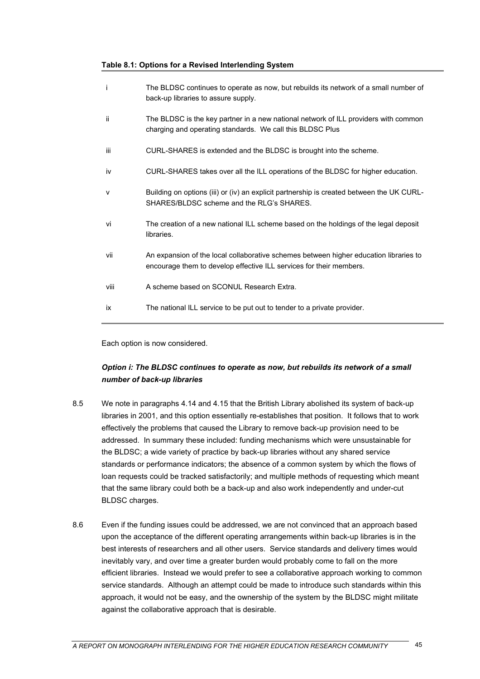#### **Table 8.1: Options for a Revised Interlending System**

| Ť            | The BLDSC continues to operate as now, but rebuilds its network of a small number of<br>back-up libraries to assure supply.                                  |
|--------------|--------------------------------------------------------------------------------------------------------------------------------------------------------------|
| ji.          | The BLDSC is the key partner in a new national network of ILL providers with common<br>charging and operating standards. We call this BLDSC Plus             |
| -iii         | CURL-SHARES is extended and the BLDSC is brought into the scheme.                                                                                            |
| iv           | CURL-SHARES takes over all the ILL operations of the BLDSC for higher education.                                                                             |
| $\mathsf{V}$ | Building on options (iii) or (iv) an explicit partnership is created between the UK CURL-<br>SHARES/BLDSC scheme and the RLG's SHARES.                       |
| vi           | The creation of a new national ILL scheme based on the holdings of the legal deposit<br>libraries.                                                           |
| vii          | An expansion of the local collaborative schemes between higher education libraries to<br>encourage them to develop effective ILL services for their members. |
| viii         | A scheme based on SCONUL Research Extra.                                                                                                                     |
| ix           | The national ILL service to be put out to tender to a private provider.                                                                                      |

Each option is now considered.

# *Option i: The BLDSC continues to operate as now, but rebuilds its network of a small number of back-up libraries*

- 8.5 We note in paragraphs 4.14 and 4.15 that the British Library abolished its system of back-up libraries in 2001, and this option essentially re-establishes that position. It follows that to work effectively the problems that caused the Library to remove back-up provision need to be addressed. In summary these included: funding mechanisms which were unsustainable for the BLDSC; a wide variety of practice by back-up libraries without any shared service standards or performance indicators; the absence of a common system by which the flows of loan requests could be tracked satisfactorily; and multiple methods of requesting which meant that the same library could both be a back-up and also work independently and under-cut BLDSC charges.
- 8.6 Even if the funding issues could be addressed, we are not convinced that an approach based upon the acceptance of the different operating arrangements within back-up libraries is in the best interests of researchers and all other users. Service standards and delivery times would inevitably vary, and over time a greater burden would probably come to fall on the more efficient libraries. Instead we would prefer to see a collaborative approach working to common service standards. Although an attempt could be made to introduce such standards within this approach, it would not be easy, and the ownership of the system by the BLDSC might militate against the collaborative approach that is desirable.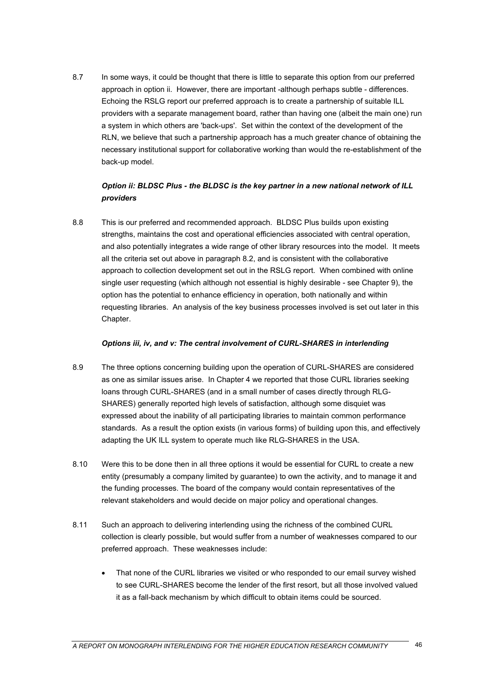8.7 In some ways, it could be thought that there is little to separate this option from our preferred approach in option ii. However, there are important -although perhaps subtle - differences. Echoing the RSLG report our preferred approach is to create a partnership of suitable ILL providers with a separate management board, rather than having one (albeit the main one) run a system in which others are 'back-ups'. Set within the context of the development of the RLN, we believe that such a partnership approach has a much greater chance of obtaining the necessary institutional support for collaborative working than would the re-establishment of the back-up model.

# *Option ii: BLDSC Plus - the BLDSC is the key partner in a new national network of ILL providers*

8.8 This is our preferred and recommended approach. BLDSC Plus builds upon existing strengths, maintains the cost and operational efficiencies associated with central operation, and also potentially integrates a wide range of other library resources into the model. It meets all the criteria set out above in paragraph 8.2, and is consistent with the collaborative approach to collection development set out in the RSLG report. When combined with online single user requesting (which although not essential is highly desirable - see Chapter 9), the option has the potential to enhance efficiency in operation, both nationally and within requesting libraries. An analysis of the key business processes involved is set out later in this Chapter.

### *Options iii, iv, and v: The central involvement of CURL-SHARES in interlending*

- 8.9 The three options concerning building upon the operation of CURL-SHARES are considered as one as similar issues arise. In Chapter 4 we reported that those CURL libraries seeking loans through CURL-SHARES (and in a small number of cases directly through RLG-SHARES) generally reported high levels of satisfaction, although some disquiet was expressed about the inability of all participating libraries to maintain common performance standards. As a result the option exists (in various forms) of building upon this, and effectively adapting the UK ILL system to operate much like RLG-SHARES in the USA.
- 8.10 Were this to be done then in all three options it would be essential for CURL to create a new entity (presumably a company limited by guarantee) to own the activity, and to manage it and the funding processes. The board of the company would contain representatives of the relevant stakeholders and would decide on major policy and operational changes.
- 8.11 Such an approach to delivering interlending using the richness of the combined CURL collection is clearly possible, but would suffer from a number of weaknesses compared to our preferred approach. These weaknesses include:
	- That none of the CURL libraries we visited or who responded to our email survey wished to see CURL-SHARES become the lender of the first resort, but all those involved valued it as a fall-back mechanism by which difficult to obtain items could be sourced.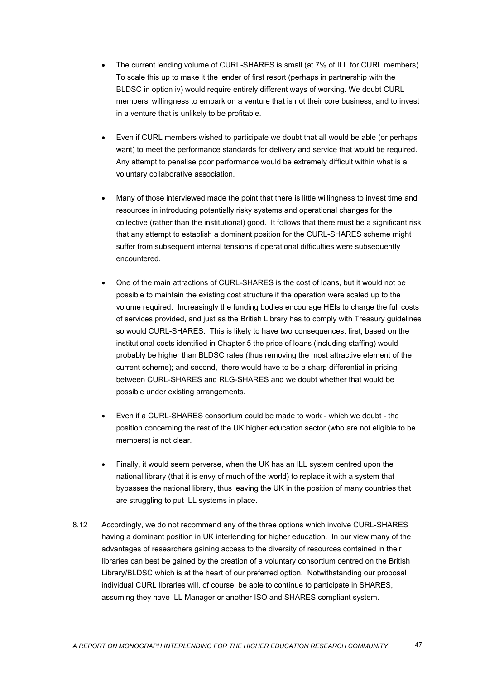- The current lending volume of CURL-SHARES is small (at 7% of ILL for CURL members). To scale this up to make it the lender of first resort (perhaps in partnership with the BLDSC in option iv) would require entirely different ways of working. We doubt CURL members' willingness to embark on a venture that is not their core business, and to invest in a venture that is unlikely to be profitable.
- Even if CURL members wished to participate we doubt that all would be able (or perhaps want) to meet the performance standards for delivery and service that would be required. Any attempt to penalise poor performance would be extremely difficult within what is a voluntary collaborative association.
- Many of those interviewed made the point that there is little willingness to invest time and resources in introducing potentially risky systems and operational changes for the collective (rather than the institutional) good. It follows that there must be a significant risk that any attempt to establish a dominant position for the CURL-SHARES scheme might suffer from subsequent internal tensions if operational difficulties were subsequently encountered.
- One of the main attractions of CURL-SHARES is the cost of loans, but it would not be possible to maintain the existing cost structure if the operation were scaled up to the volume required. Increasingly the funding bodies encourage HEIs to charge the full costs of services provided, and just as the British Library has to comply with Treasury guidelines so would CURL-SHARES. This is likely to have two consequences: first, based on the institutional costs identified in Chapter 5 the price of loans (including staffing) would probably be higher than BLDSC rates (thus removing the most attractive element of the current scheme); and second, there would have to be a sharp differential in pricing between CURL-SHARES and RLG-SHARES and we doubt whether that would be possible under existing arrangements.
- Even if a CURL-SHARES consortium could be made to work which we doubt the position concerning the rest of the UK higher education sector (who are not eligible to be members) is not clear.
- Finally, it would seem perverse, when the UK has an ILL system centred upon the national library (that it is envy of much of the world) to replace it with a system that bypasses the national library, thus leaving the UK in the position of many countries that are struggling to put ILL systems in place.
- 8.12 Accordingly, we do not recommend any of the three options which involve CURL-SHARES having a dominant position in UK interlending for higher education. In our view many of the advantages of researchers gaining access to the diversity of resources contained in their libraries can best be gained by the creation of a voluntary consortium centred on the British Library/BLDSC which is at the heart of our preferred option. Notwithstanding our proposal individual CURL libraries will, of course, be able to continue to participate in SHARES, assuming they have ILL Manager or another ISO and SHARES compliant system.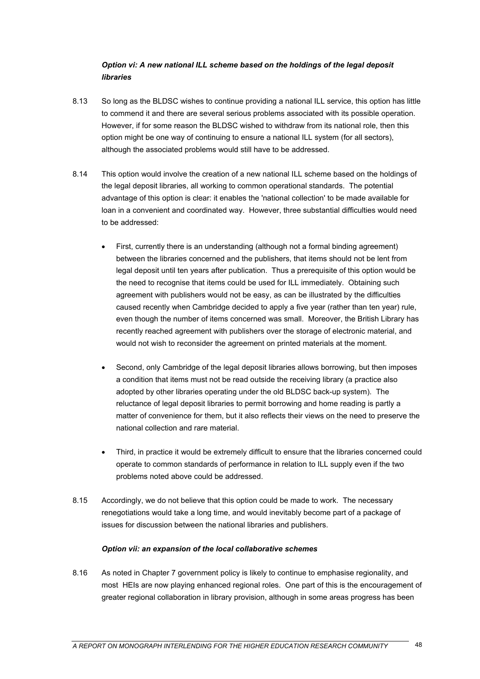# *Option vi: A new national ILL scheme based on the holdings of the legal deposit libraries*

- 8.13 So long as the BLDSC wishes to continue providing a national ILL service, this option has little to commend it and there are several serious problems associated with its possible operation. However, if for some reason the BLDSC wished to withdraw from its national role, then this option might be one way of continuing to ensure a national ILL system (for all sectors), although the associated problems would still have to be addressed.
- 8.14 This option would involve the creation of a new national ILL scheme based on the holdings of the legal deposit libraries, all working to common operational standards. The potential advantage of this option is clear: it enables the 'national collection' to be made available for loan in a convenient and coordinated way. However, three substantial difficulties would need to be addressed:
	- First, currently there is an understanding (although not a formal binding agreement) between the libraries concerned and the publishers, that items should not be lent from legal deposit until ten years after publication. Thus a prerequisite of this option would be the need to recognise that items could be used for ILL immediately. Obtaining such agreement with publishers would not be easy, as can be illustrated by the difficulties caused recently when Cambridge decided to apply a five year (rather than ten year) rule, even though the number of items concerned was small. Moreover, the British Library has recently reached agreement with publishers over the storage of electronic material, and would not wish to reconsider the agreement on printed materials at the moment.
	- Second, only Cambridge of the legal deposit libraries allows borrowing, but then imposes a condition that items must not be read outside the receiving library (a practice also adopted by other libraries operating under the old BLDSC back-up system). The reluctance of legal deposit libraries to permit borrowing and home reading is partly a matter of convenience for them, but it also reflects their views on the need to preserve the national collection and rare material.
	- Third, in practice it would be extremely difficult to ensure that the libraries concerned could operate to common standards of performance in relation to ILL supply even if the two problems noted above could be addressed.
- 8.15 Accordingly, we do not believe that this option could be made to work. The necessary renegotiations would take a long time, and would inevitably become part of a package of issues for discussion between the national libraries and publishers.

### *Option vii: an expansion of the local collaborative schemes*

8.16 As noted in Chapter 7 government policy is likely to continue to emphasise regionality, and most HEIs are now playing enhanced regional roles. One part of this is the encouragement of greater regional collaboration in library provision, although in some areas progress has been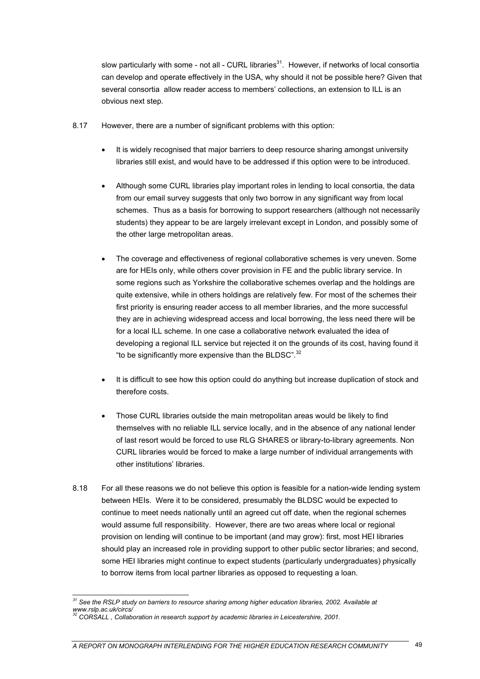slow particularly with some - not all - CURL libraries $31$ . However, if networks of local consortia can develop and operate effectively in the USA, why should it not be possible here? Given that several consortia allow reader access to members' collections, an extension to ILL is an obvious next step.

- 8.17 However, there are a number of significant problems with this option:
	- It is widely recognised that major barriers to deep resource sharing amongst university libraries still exist, and would have to be addressed if this option were to be introduced.
	- Although some CURL libraries play important roles in lending to local consortia, the data from our email survey suggests that only two borrow in any significant way from local schemes. Thus as a basis for borrowing to support researchers (although not necessarily students) they appear to be are largely irrelevant except in London, and possibly some of the other large metropolitan areas.
	- The coverage and effectiveness of regional collaborative schemes is very uneven. Some are for HEIs only, while others cover provision in FE and the public library service. In some regions such as Yorkshire the collaborative schemes overlap and the holdings are quite extensive, while in others holdings are relatively few. For most of the schemes their first priority is ensuring reader access to all member libraries, and the more successful they are in achieving widespread access and local borrowing, the less need there will be for a local ILL scheme. In one case a collaborative network evaluated the idea of developing a regional ILL service but rejected it on the grounds of its cost, having found it "to be significantly more expensive than the BLDSC".<sup>[32](#page-49-1)</sup>
	- It is difficult to see how this option could do anything but increase duplication of stock and therefore costs.
	- Those CURL libraries outside the main metropolitan areas would be likely to find themselves with no reliable ILL service locally, and in the absence of any national lender of last resort would be forced to use RLG SHARES or library-to-library agreements. Non CURL libraries would be forced to make a large number of individual arrangements with other institutions' libraries.
- 8.18 For all these reasons we do not believe this option is feasible for a nation-wide lending system between HEIs. Were it to be considered, presumably the BLDSC would be expected to continue to meet needs nationally until an agreed cut off date, when the regional schemes would assume full responsibility. However, there are two areas where local or regional provision on lending will continue to be important (and may grow): first, most HEI libraries should play an increased role in providing support to other public sector libraries; and second, some HEI libraries might continue to expect students (particularly undergraduates) physically to borrow items from local partner libraries as opposed to requesting a loan.

<span id="page-49-0"></span>*31 See the RSLP study on barriers to resource sharing among higher education libraries, 2002. Available at [www.rslp.ac.uk/circs/](http://www.rslp.ac.uk/circs/) 32 CORSALL , Collaboration in research support by academic libraries in Leicestershire, 2001.* 

<span id="page-49-1"></span>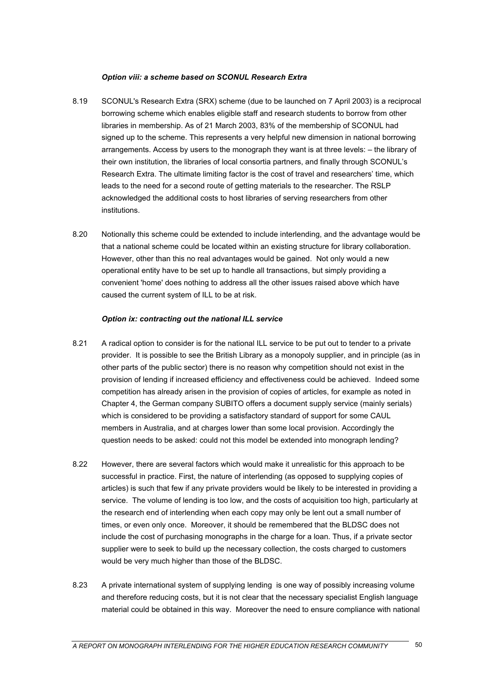#### *Option viii: a scheme based on SCONUL Research Extra*

- 8.19 SCONUL's Research Extra (SRX) scheme (due to be launched on 7 April 2003) is a reciprocal borrowing scheme which enables eligible staff and research students to borrow from other libraries in membership. As of 21 March 2003, 83% of the membership of SCONUL had signed up to the scheme. This represents a very helpful new dimension in national borrowing arrangements. Access by users to the monograph they want is at three levels: – the library of their own institution, the libraries of local consortia partners, and finally through SCONUL's Research Extra. The ultimate limiting factor is the cost of travel and researchers' time, which leads to the need for a second route of getting materials to the researcher. The RSLP acknowledged the additional costs to host libraries of serving researchers from other institutions.
- 8.20 Notionally this scheme could be extended to include interlending, and the advantage would be that a national scheme could be located within an existing structure for library collaboration. However, other than this no real advantages would be gained. Not only would a new operational entity have to be set up to handle all transactions, but simply providing a convenient 'home' does nothing to address all the other issues raised above which have caused the current system of ILL to be at risk.

#### *Option ix: contracting out the national ILL service*

- 8.21 A radical option to consider is for the national ILL service to be put out to tender to a private provider. It is possible to see the British Library as a monopoly supplier, and in principle (as in other parts of the public sector) there is no reason why competition should not exist in the provision of lending if increased efficiency and effectiveness could be achieved. Indeed some competition has already arisen in the provision of copies of articles, for example as noted in Chapter 4, the German company SUBITO offers a document supply service (mainly serials) which is considered to be providing a satisfactory standard of support for some CAUL members in Australia, and at charges lower than some local provision. Accordingly the question needs to be asked: could not this model be extended into monograph lending?
- 8.22 However, there are several factors which would make it unrealistic for this approach to be successful in practice. First, the nature of interlending (as opposed to supplying copies of articles) is such that few if any private providers would be likely to be interested in providing a service. The volume of lending is too low, and the costs of acquisition too high, particularly at the research end of interlending when each copy may only be lent out a small number of times, or even only once. Moreover, it should be remembered that the BLDSC does not include the cost of purchasing monographs in the charge for a loan. Thus, if a private sector supplier were to seek to build up the necessary collection, the costs charged to customers would be very much higher than those of the BLDSC.
- 8.23 A private international system of supplying lending is one way of possibly increasing volume and therefore reducing costs, but it is not clear that the necessary specialist English language material could be obtained in this way. Moreover the need to ensure compliance with national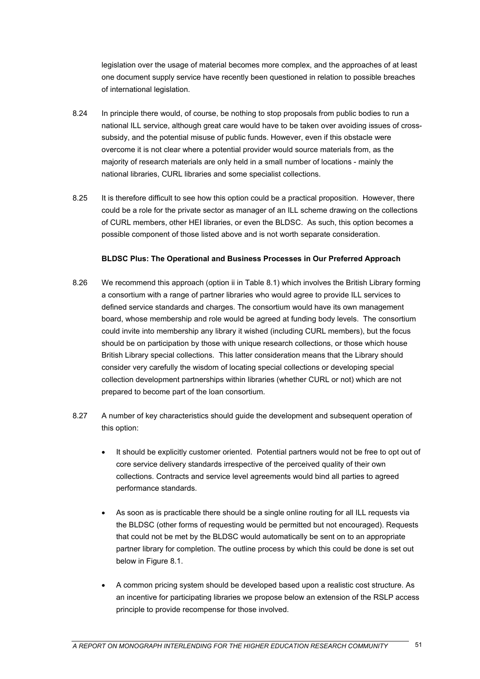legislation over the usage of material becomes more complex, and the approaches of at least one document supply service have recently been questioned in relation to possible breaches of international legislation.

- 8.24 In principle there would, of course, be nothing to stop proposals from public bodies to run a national ILL service, although great care would have to be taken over avoiding issues of crosssubsidy, and the potential misuse of public funds. However, even if this obstacle were overcome it is not clear where a potential provider would source materials from, as the majority of research materials are only held in a small number of locations - mainly the national libraries, CURL libraries and some specialist collections.
- 8.25 It is therefore difficult to see how this option could be a practical proposition. However, there could be a role for the private sector as manager of an ILL scheme drawing on the collections of CURL members, other HEI libraries, or even the BLDSC. As such, this option becomes a possible component of those listed above and is not worth separate consideration.

#### **BLDSC Plus: The Operational and Business Processes in Our Preferred Approach**

- 8.26 We recommend this approach (option ii in Table 8.1) which involves the British Library forming a consortium with a range of partner libraries who would agree to provide ILL services to defined service standards and charges. The consortium would have its own management board, whose membership and role would be agreed at funding body levels. The consortium could invite into membership any library it wished (including CURL members), but the focus should be on participation by those with unique research collections, or those which house British Library special collections. This latter consideration means that the Library should consider very carefully the wisdom of locating special collections or developing special collection development partnerships within libraries (whether CURL or not) which are not prepared to become part of the loan consortium.
- 8.27 A number of key characteristics should guide the development and subsequent operation of this option:
	- It should be explicitly customer oriented. Potential partners would not be free to opt out of core service delivery standards irrespective of the perceived quality of their own collections. Contracts and service level agreements would bind all parties to agreed performance standards.
	- As soon as is practicable there should be a single online routing for all ILL requests via the BLDSC (other forms of requesting would be permitted but not encouraged). Requests that could not be met by the BLDSC would automatically be sent on to an appropriate partner library for completion. The outline process by which this could be done is set out below in Figure 8.1.
	- A common pricing system should be developed based upon a realistic cost structure. As an incentive for participating libraries we propose below an extension of the RSLP access principle to provide recompense for those involved.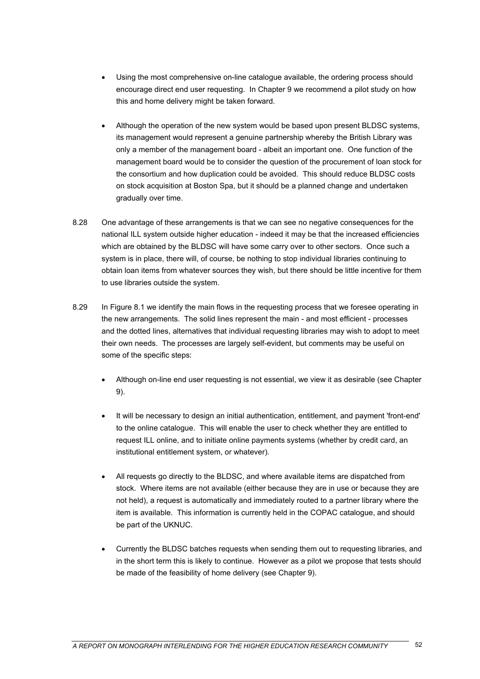- Using the most comprehensive on-line catalogue available, the ordering process should encourage direct end user requesting. In Chapter 9 we recommend a pilot study on how this and home delivery might be taken forward.
- Although the operation of the new system would be based upon present BLDSC systems, its management would represent a genuine partnership whereby the British Library was only a member of the management board - albeit an important one. One function of the management board would be to consider the question of the procurement of loan stock for the consortium and how duplication could be avoided. This should reduce BLDSC costs on stock acquisition at Boston Spa, but it should be a planned change and undertaken gradually over time.
- 8.28 One advantage of these arrangements is that we can see no negative consequences for the national ILL system outside higher education - indeed it may be that the increased efficiencies which are obtained by the BLDSC will have some carry over to other sectors. Once such a system is in place, there will, of course, be nothing to stop individual libraries continuing to obtain loan items from whatever sources they wish, but there should be little incentive for them to use libraries outside the system.
- 8.29 In Figure 8.1 we identify the main flows in the requesting process that we foresee operating in the new arrangements. The solid lines represent the main - and most efficient - processes and the dotted lines, alternatives that individual requesting libraries may wish to adopt to meet their own needs. The processes are largely self-evident, but comments may be useful on some of the specific steps:
	- Although on-line end user requesting is not essential, we view it as desirable (see Chapter 9).
	- It will be necessary to design an initial authentication, entitlement, and payment 'front-end' to the online catalogue. This will enable the user to check whether they are entitled to request ILL online, and to initiate online payments systems (whether by credit card, an institutional entitlement system, or whatever).
	- All requests go directly to the BLDSC, and where available items are dispatched from stock. Where items are not available (either because they are in use or because they are not held), a request is automatically and immediately routed to a partner library where the item is available. This information is currently held in the COPAC catalogue, and should be part of the UKNUC.
	- Currently the BLDSC batches requests when sending them out to requesting libraries, and in the short term this is likely to continue. However as a pilot we propose that tests should be made of the feasibility of home delivery (see Chapter 9).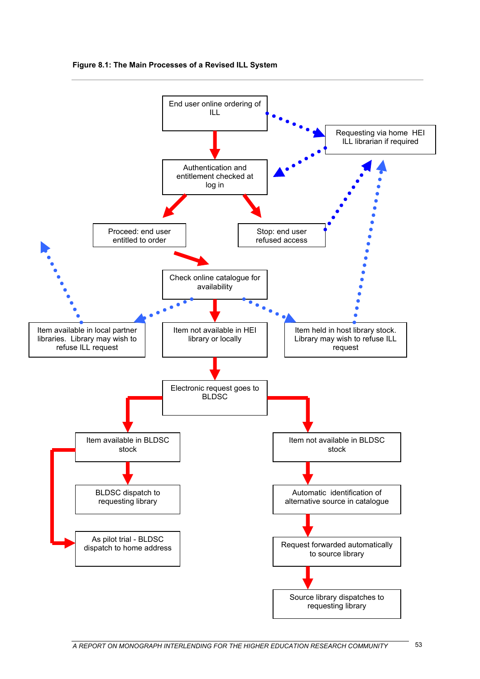

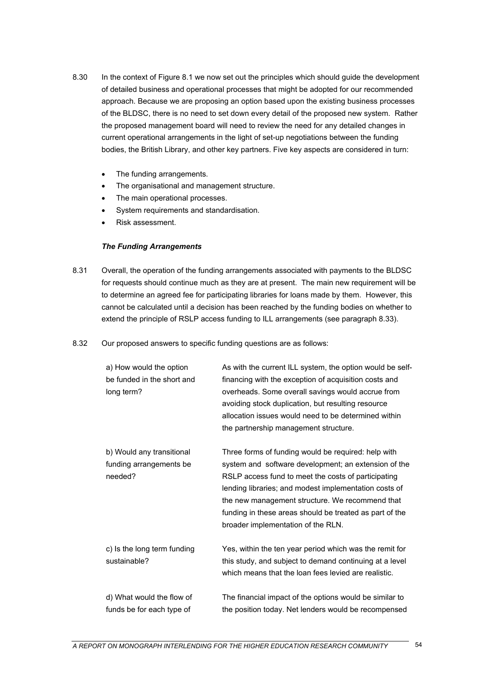- 8.30 In the context of Figure 8.1 we now set out the principles which should guide the development of detailed business and operational processes that might be adopted for our recommended approach. Because we are proposing an option based upon the existing business processes of the BLDSC, there is no need to set down every detail of the proposed new system. Rather the proposed management board will need to review the need for any detailed changes in current operational arrangements in the light of set-up negotiations between the funding bodies, the British Library, and other key partners. Five key aspects are considered in turn:
	- The funding arrangements.
	- The organisational and management structure.
	- The main operational processes.
	- System requirements and standardisation.
	- Risk assessment.

### *The Funding Arrangements*

- 8.31 Overall, the operation of the funding arrangements associated with payments to the BLDSC for requests should continue much as they are at present. The main new requirement will be to determine an agreed fee for participating libraries for loans made by them. However, this cannot be calculated until a decision has been reached by the funding bodies on whether to extend the principle of RSLP access funding to ILL arrangements (see paragraph 8.33).
- 8.32 Our proposed answers to specific funding questions are as follows:

| a) How would the option<br>be funded in the short and<br>long term? | As with the current ILL system, the option would be self-<br>financing with the exception of acquisition costs and<br>overheads. Some overall savings would accrue from<br>avoiding stock duplication, but resulting resource<br>allocation issues would need to be determined within<br>the partnership management structure.                                                  |
|---------------------------------------------------------------------|---------------------------------------------------------------------------------------------------------------------------------------------------------------------------------------------------------------------------------------------------------------------------------------------------------------------------------------------------------------------------------|
| b) Would any transitional<br>funding arrangements be<br>needed?     | Three forms of funding would be required: help with<br>system and software development; an extension of the<br>RSLP access fund to meet the costs of participating<br>lending libraries; and modest implementation costs of<br>the new management structure. We recommend that<br>funding in these areas should be treated as part of the<br>broader implementation of the RLN. |
| c) Is the long term funding<br>sustainable?                         | Yes, within the ten year period which was the remit for<br>this study, and subject to demand continuing at a level<br>which means that the loan fees levied are realistic.                                                                                                                                                                                                      |
| d) What would the flow of<br>funds be for each type of              | The financial impact of the options would be similar to<br>the position today. Net lenders would be recompensed                                                                                                                                                                                                                                                                 |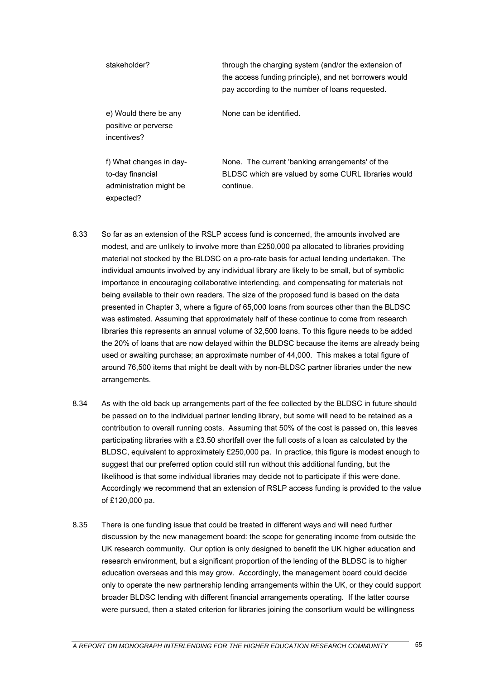| stakeholder?                                                                        | through the charging system (and/or the extension of<br>the access funding principle), and net borrowers would<br>pay according to the number of loans requested. |
|-------------------------------------------------------------------------------------|-------------------------------------------------------------------------------------------------------------------------------------------------------------------|
| e) Would there be any<br>positive or perverse<br>incentives?                        | None can be identified.                                                                                                                                           |
| f) What changes in day-<br>to-day financial<br>administration might be<br>expected? | None. The current 'banking arrangements' of the<br>BLDSC which are valued by some CURL libraries would<br>continue.                                               |

- 8.33 So far as an extension of the RSLP access fund is concerned, the amounts involved are modest, and are unlikely to involve more than £250,000 pa allocated to libraries providing material not stocked by the BLDSC on a pro-rate basis for actual lending undertaken. The individual amounts involved by any individual library are likely to be small, but of symbolic importance in encouraging collaborative interlending, and compensating for materials not being available to their own readers. The size of the proposed fund is based on the data presented in Chapter 3, where a figure of 65,000 loans from sources other than the BLDSC was estimated. Assuming that approximately half of these continue to come from research libraries this represents an annual volume of 32,500 loans. To this figure needs to be added the 20% of loans that are now delayed within the BLDSC because the items are already being used or awaiting purchase; an approximate number of 44,000. This makes a total figure of around 76,500 items that might be dealt with by non-BLDSC partner libraries under the new arrangements.
- 8.34 As with the old back up arrangements part of the fee collected by the BLDSC in future should be passed on to the individual partner lending library, but some will need to be retained as a contribution to overall running costs. Assuming that 50% of the cost is passed on, this leaves participating libraries with a £3.50 shortfall over the full costs of a loan as calculated by the BLDSC, equivalent to approximately £250,000 pa. In practice, this figure is modest enough to suggest that our preferred option could still run without this additional funding, but the likelihood is that some individual libraries may decide not to participate if this were done. Accordingly we recommend that an extension of RSLP access funding is provided to the value of £120,000 pa.
- 8.35 There is one funding issue that could be treated in different ways and will need further discussion by the new management board: the scope for generating income from outside the UK research community. Our option is only designed to benefit the UK higher education and research environment, but a significant proportion of the lending of the BLDSC is to higher education overseas and this may grow. Accordingly, the management board could decide only to operate the new partnership lending arrangements within the UK, or they could support broader BLDSC lending with different financial arrangements operating. If the latter course were pursued, then a stated criterion for libraries joining the consortium would be willingness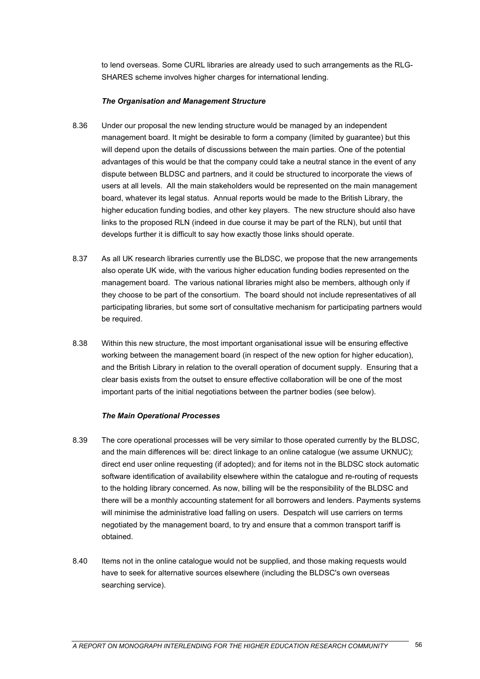to lend overseas. Some CURL libraries are already used to such arrangements as the RLG-SHARES scheme involves higher charges for international lending.

### *The Organisation and Management Structure*

- 8.36 Under our proposal the new lending structure would be managed by an independent management board. It might be desirable to form a company (limited by guarantee) but this will depend upon the details of discussions between the main parties. One of the potential advantages of this would be that the company could take a neutral stance in the event of any dispute between BLDSC and partners, and it could be structured to incorporate the views of users at all levels. All the main stakeholders would be represented on the main management board, whatever its legal status. Annual reports would be made to the British Library, the higher education funding bodies, and other key players. The new structure should also have links to the proposed RLN (indeed in due course it may be part of the RLN), but until that develops further it is difficult to say how exactly those links should operate.
- 8.37 As all UK research libraries currently use the BLDSC, we propose that the new arrangements also operate UK wide, with the various higher education funding bodies represented on the management board. The various national libraries might also be members, although only if they choose to be part of the consortium. The board should not include representatives of all participating libraries, but some sort of consultative mechanism for participating partners would be required.
- 8.38 Within this new structure, the most important organisational issue will be ensuring effective working between the management board (in respect of the new option for higher education), and the British Library in relation to the overall operation of document supply. Ensuring that a clear basis exists from the outset to ensure effective collaboration will be one of the most important parts of the initial negotiations between the partner bodies (see below).

#### *The Main Operational Processes*

- 8.39 The core operational processes will be very similar to those operated currently by the BLDSC, and the main differences will be: direct linkage to an online catalogue (we assume UKNUC); direct end user online requesting (if adopted); and for items not in the BLDSC stock automatic software identification of availability elsewhere within the catalogue and re-routing of requests to the holding library concerned. As now, billing will be the responsibility of the BLDSC and there will be a monthly accounting statement for all borrowers and lenders. Payments systems will minimise the administrative load falling on users. Despatch will use carriers on terms negotiated by the management board, to try and ensure that a common transport tariff is obtained.
- 8.40 Items not in the online catalogue would not be supplied, and those making requests would have to seek for alternative sources elsewhere (including the BLDSC's own overseas searching service).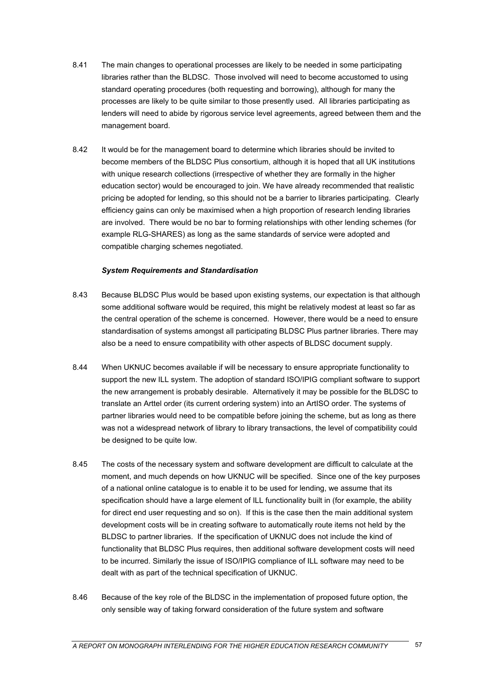- 8.41 The main changes to operational processes are likely to be needed in some participating libraries rather than the BLDSC. Those involved will need to become accustomed to using standard operating procedures (both requesting and borrowing), although for many the processes are likely to be quite similar to those presently used. All libraries participating as lenders will need to abide by rigorous service level agreements, agreed between them and the management board.
- 8.42 It would be for the management board to determine which libraries should be invited to become members of the BLDSC Plus consortium, although it is hoped that all UK institutions with unique research collections (irrespective of whether they are formally in the higher education sector) would be encouraged to join. We have already recommended that realistic pricing be adopted for lending, so this should not be a barrier to libraries participating. Clearly efficiency gains can only be maximised when a high proportion of research lending libraries are involved. There would be no bar to forming relationships with other lending schemes (for example RLG-SHARES) as long as the same standards of service were adopted and compatible charging schemes negotiated.

#### *System Requirements and Standardisation*

- 8.43 Because BLDSC Plus would be based upon existing systems, our expectation is that although some additional software would be required, this might be relatively modest at least so far as the central operation of the scheme is concerned. However, there would be a need to ensure standardisation of systems amongst all participating BLDSC Plus partner libraries. There may also be a need to ensure compatibility with other aspects of BLDSC document supply.
- 8.44 When UKNUC becomes available if will be necessary to ensure appropriate functionality to support the new ILL system. The adoption of standard ISO/IPIG compliant software to support the new arrangement is probably desirable. Alternatively it may be possible for the BLDSC to translate an Arttel order (its current ordering system) into an ArtISO order. The systems of partner libraries would need to be compatible before joining the scheme, but as long as there was not a widespread network of library to library transactions, the level of compatibility could be designed to be quite low.
- 8.45 The costs of the necessary system and software development are difficult to calculate at the moment, and much depends on how UKNUC will be specified. Since one of the key purposes of a national online catalogue is to enable it to be used for lending, we assume that its specification should have a large element of ILL functionality built in (for example, the ability for direct end user requesting and so on). If this is the case then the main additional system development costs will be in creating software to automatically route items not held by the BLDSC to partner libraries. If the specification of UKNUC does not include the kind of functionality that BLDSC Plus requires, then additional software development costs will need to be incurred. Similarly the issue of ISO/IPIG compliance of ILL software may need to be dealt with as part of the technical specification of UKNUC.
- 8.46 Because of the key role of the BLDSC in the implementation of proposed future option, the only sensible way of taking forward consideration of the future system and software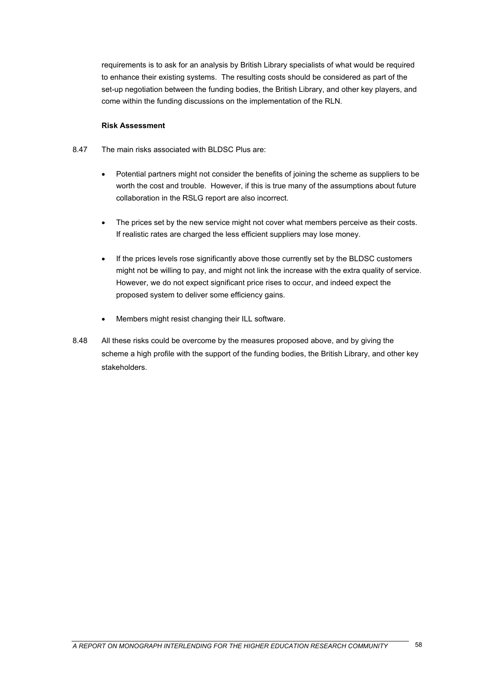requirements is to ask for an analysis by British Library specialists of what would be required to enhance their existing systems. The resulting costs should be considered as part of the set-up negotiation between the funding bodies, the British Library, and other key players, and come within the funding discussions on the implementation of the RLN.

#### **Risk Assessment**

- 8.47 The main risks associated with BLDSC Plus are:
	- Potential partners might not consider the benefits of joining the scheme as suppliers to be worth the cost and trouble. However, if this is true many of the assumptions about future collaboration in the RSLG report are also incorrect.
	- The prices set by the new service might not cover what members perceive as their costs. If realistic rates are charged the less efficient suppliers may lose money.
	- If the prices levels rose significantly above those currently set by the BLDSC customers might not be willing to pay, and might not link the increase with the extra quality of service. However, we do not expect significant price rises to occur, and indeed expect the proposed system to deliver some efficiency gains.
	- Members might resist changing their ILL software.
- 8.48 All these risks could be overcome by the measures proposed above, and by giving the scheme a high profile with the support of the funding bodies, the British Library, and other key stakeholders.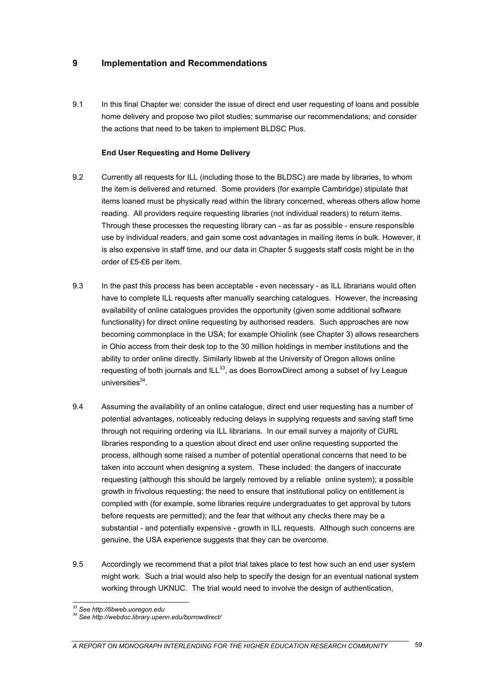# **9 Implementation and Recommendations**

9.1 In this final Chapter we: consider the issue of direct end user requesting of loans and possible home delivery and propose two pilot studies; summarise our recommendations; and consider the actions that need to be taken to implement BLDSC Plus.

# **End User Requesting and Home Delivery**

- 9.2 Currently all requests for ILL (including those to the BLDSC) are made by libraries, to whom the item is delivered and returned. Some providers (for example Cambridge) stipulate that items loaned must be physically read within the library concerned, whereas others allow home reading. All providers require requesting libraries (not individual readers) to return items. Through these processes the requesting library can - as far as possible - ensure responsible use by individual readers, and gain some cost advantages in mailing items in bulk. However, it is also expensive in staff time, and our data in Chapter 5 suggests staff costs might be in the order of £5-£6 per item.
- 9.3 In the past this process has been acceptable even necessary as ILL librarians would often have to complete ILL requests after manually searching catalogues. However, the increasing availability of online catalogues provides the opportunity (given some additional software functionality) for direct online requesting by authorised readers. Such approaches are now becoming commonplace in the USA; for example Ohiolink (see Chapter 3) allows researchers in Ohio access from their desk top to the 30 million holdings in member institutions and the ability to order online directly. Similarly libweb at the University of Oregon allows online requesting of both journals and  $ILL^{33}$ , as does BorrowDirect among a subset of Ivy League universities $34$ .
- 9.4 Assuming the availability of an online catalogue, direct end user requesting has a number of potential advantages, noticeably reducing delays in supplying requests and saving staff time through not requiring ordering via ILL librarians. In our email survey a majority of CURL libraries responding to a question about direct end user online requesting supported the process, although some raised a number of potential operational concerns that need to be taken into account when designing a system. These included: the dangers of inaccurate requesting (although this should be largely removed by a reliable online system); a possible growth in frivolous requesting; the need to ensure that institutional policy on entitlement is complied with (for example, some libraries require undergraduates to get approval by tutors before requests are permitted); and the fear that without any checks there may be a substantial - and potentially expensive - growth in ILL requests. Although such concerns are genuine, the USA experience suggests that they can be overcome.
- 9.5 Accordingly we recommend that a pilot trial takes place to test how such an end user system might work. Such a trial would also help to specify the design for an eventual national system working through UKNUC. The trial would need to involve the design of authentication,

<span id="page-59-1"></span><span id="page-59-0"></span>

*33 See http://libweb.uoregon.edu 34 See http://webdoc.library.upenn.edu/borrowdirect/*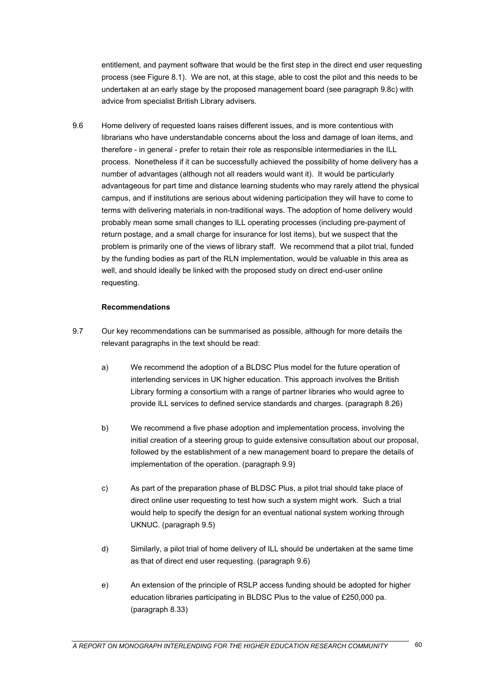entitlement, and payment software that would be the first step in the direct end user requesting process (see Figure 8.1). We are not, at this stage, able to cost the pilot and this needs to be undertaken at an early stage by the proposed management board (see paragraph 9.8c) with advice from specialist British Library advisers.

9.6 Home delivery of requested loans raises different issues, and is more contentious with librarians who have understandable concerns about the loss and damage of loan items, and therefore - in general - prefer to retain their role as responsible intermediaries in the ILL process. Nonetheless if it can be successfully achieved the possibility of home delivery has a number of advantages (although not all readers would want it). It would be particularly advantageous for part time and distance learning students who may rarely attend the physical campus, and if institutions are serious about widening participation they will have to come to terms with delivering materials in non-traditional ways. The adoption of home delivery would probably mean some small changes to ILL operating processes (including pre-payment of return postage, and a small charge for insurance for lost items), but we suspect that the problem is primarily one of the views of library staff. We recommend that a pilot trial, funded by the funding bodies as part of the RLN implementation, would be valuable in this area as well, and should ideally be linked with the proposed study on direct end-user online requesting.

#### **Recommendations**

- 9.7 Our key recommendations can be summarised as possible, although for more details the relevant paragraphs in the text should be read:
	- a) We recommend the adoption of a BLDSC Plus model for the future operation of interlending services in UK higher education. This approach involves the British Library forming a consortium with a range of partner libraries who would agree to provide ILL services to defined service standards and charges. (paragraph 8.26)
	- b) We recommend a five phase adoption and implementation process, involving the initial creation of a steering group to guide extensive consultation about our proposal, followed by the establishment of a new management board to prepare the details of implementation of the operation. (paragraph 9.9)
	- c) As part of the preparation phase of BLDSC Plus, a pilot trial should take place of direct online user requesting to test how such a system might work. Such a trial would help to specify the design for an eventual national system working through UKNUC. (paragraph 9.5)
	- d) Similarly, a pilot trial of home delivery of ILL should be undertaken at the same time as that of direct end user requesting. (paragraph 9.6)
	- e) An extension of the principle of RSLP access funding should be adopted for higher education libraries participating in BLDSC Plus to the value of £250,000 pa. (paragraph 8.33)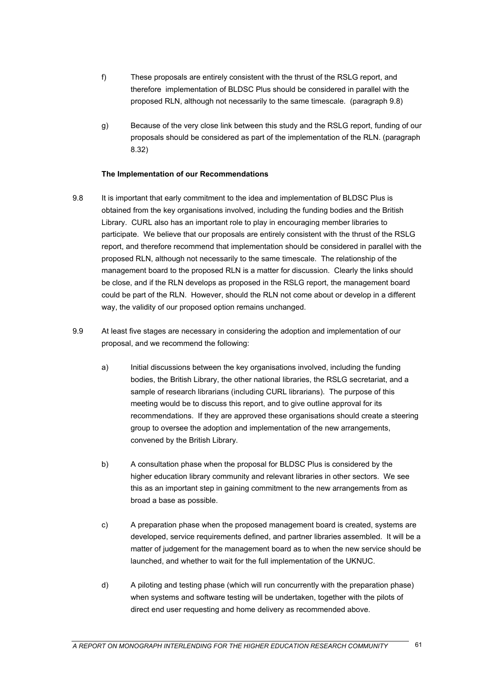- f) These proposals are entirely consistent with the thrust of the RSLG report, and therefore implementation of BLDSC Plus should be considered in parallel with the proposed RLN, although not necessarily to the same timescale. (paragraph 9.8)
- g) Because of the very close link between this study and the RSLG report, funding of our proposals should be considered as part of the implementation of the RLN. (paragraph 8.32)

#### **The Implementation of our Recommendations**

- 9.8 It is important that early commitment to the idea and implementation of BLDSC Plus is obtained from the key organisations involved, including the funding bodies and the British Library. CURL also has an important role to play in encouraging member libraries to participate. We believe that our proposals are entirely consistent with the thrust of the RSLG report, and therefore recommend that implementation should be considered in parallel with the proposed RLN, although not necessarily to the same timescale. The relationship of the management board to the proposed RLN is a matter for discussion. Clearly the links should be close, and if the RLN develops as proposed in the RSLG report, the management board could be part of the RLN. However, should the RLN not come about or develop in a different way, the validity of our proposed option remains unchanged.
- 9.9 At least five stages are necessary in considering the adoption and implementation of our proposal, and we recommend the following:
	- a) Initial discussions between the key organisations involved, including the funding bodies, the British Library, the other national libraries, the RSLG secretariat, and a sample of research librarians (including CURL librarians). The purpose of this meeting would be to discuss this report, and to give outline approval for its recommendations. If they are approved these organisations should create a steering group to oversee the adoption and implementation of the new arrangements, convened by the British Library.
	- b) A consultation phase when the proposal for BLDSC Plus is considered by the higher education library community and relevant libraries in other sectors. We see this as an important step in gaining commitment to the new arrangements from as broad a base as possible.
	- c) A preparation phase when the proposed management board is created, systems are developed, service requirements defined, and partner libraries assembled. It will be a matter of judgement for the management board as to when the new service should be launched, and whether to wait for the full implementation of the UKNUC.
	- d) A piloting and testing phase (which will run concurrently with the preparation phase) when systems and software testing will be undertaken, together with the pilots of direct end user requesting and home delivery as recommended above.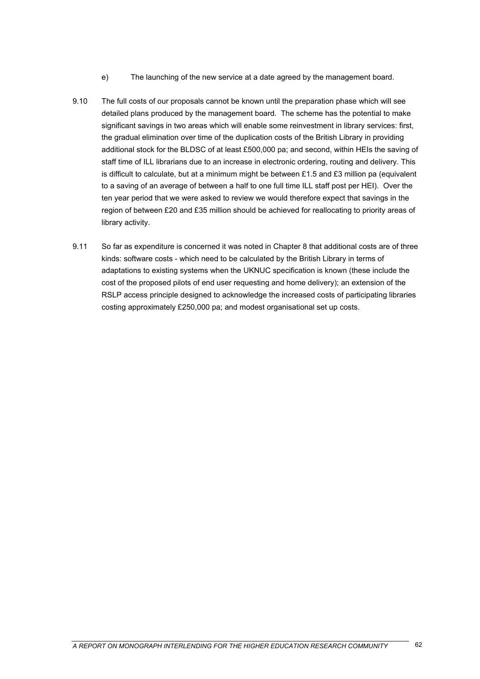- e) The launching of the new service at a date agreed by the management board.
- 9.10 The full costs of our proposals cannot be known until the preparation phase which will see detailed plans produced by the management board. The scheme has the potential to make significant savings in two areas which will enable some reinvestment in library services: first, the gradual elimination over time of the duplication costs of the British Library in providing additional stock for the BLDSC of at least £500,000 pa; and second, within HEIs the saving of staff time of ILL librarians due to an increase in electronic ordering, routing and delivery. This is difficult to calculate, but at a minimum might be between £1.5 and £3 million pa (equivalent to a saving of an average of between a half to one full time ILL staff post per HEI). Over the ten year period that we were asked to review we would therefore expect that savings in the region of between £20 and £35 million should be achieved for reallocating to priority areas of library activity.
- 9.11 So far as expenditure is concerned it was noted in Chapter 8 that additional costs are of three kinds: software costs - which need to be calculated by the British Library in terms of adaptations to existing systems when the UKNUC specification is known (these include the cost of the proposed pilots of end user requesting and home delivery); an extension of the RSLP access principle designed to acknowledge the increased costs of participating libraries costing approximately £250,000 pa; and modest organisational set up costs.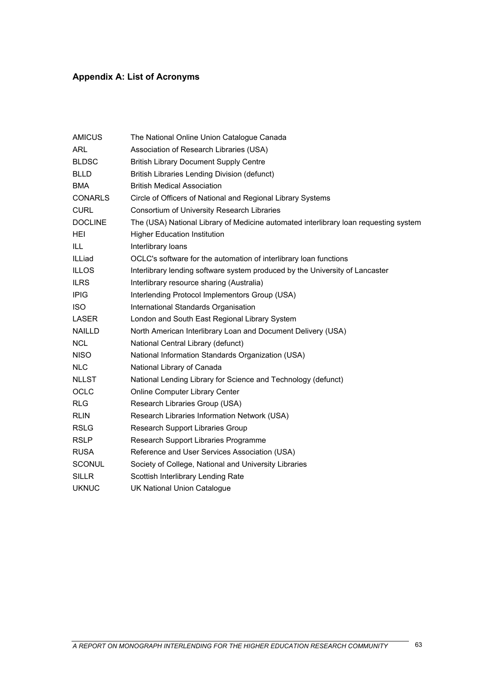# **Appendix A: List of Acronyms**

| <b>AMICUS</b>  | The National Online Union Catalogue Canada                                           |
|----------------|--------------------------------------------------------------------------------------|
| <b>ARL</b>     | Association of Research Libraries (USA)                                              |
| <b>BLDSC</b>   | <b>British Library Document Supply Centre</b>                                        |
| <b>BLLD</b>    | British Libraries Lending Division (defunct)                                         |
| <b>BMA</b>     | <b>British Medical Association</b>                                                   |
| <b>CONARLS</b> | Circle of Officers of National and Regional Library Systems                          |
| <b>CURL</b>    | Consortium of University Research Libraries                                          |
| <b>DOCLINE</b> | The (USA) National Library of Medicine automated interlibrary loan requesting system |
| HEI            | <b>Higher Education Institution</b>                                                  |
| ILL            | Interlibrary loans                                                                   |
| <b>ILLiad</b>  | OCLC's software for the automation of interlibrary loan functions                    |
| <b>ILLOS</b>   | Interlibrary lending software system produced by the University of Lancaster         |
| <b>ILRS</b>    | Interlibrary resource sharing (Australia)                                            |
| <b>IPIG</b>    | Interlending Protocol Implementors Group (USA)                                       |
| <b>ISO</b>     | International Standards Organisation                                                 |
| <b>LASER</b>   | London and South East Regional Library System                                        |
| <b>NAILLD</b>  | North American Interlibrary Loan and Document Delivery (USA)                         |
| <b>NCL</b>     | National Central Library (defunct)                                                   |
| <b>NISO</b>    | National Information Standards Organization (USA)                                    |
| <b>NLC</b>     | National Library of Canada                                                           |
| <b>NLLST</b>   | National Lending Library for Science and Technology (defunct)                        |
| <b>OCLC</b>    | Online Computer Library Center                                                       |
| <b>RLG</b>     | Research Libraries Group (USA)                                                       |
| <b>RLIN</b>    | Research Libraries Information Network (USA)                                         |
| <b>RSLG</b>    | Research Support Libraries Group                                                     |
| <b>RSLP</b>    | Research Support Libraries Programme                                                 |
| <b>RUSA</b>    | Reference and User Services Association (USA)                                        |
| SCONUL         | Society of College, National and University Libraries                                |
| <b>SILLR</b>   | Scottish Interlibrary Lending Rate                                                   |
| <b>UKNUC</b>   | <b>UK National Union Catalogue</b>                                                   |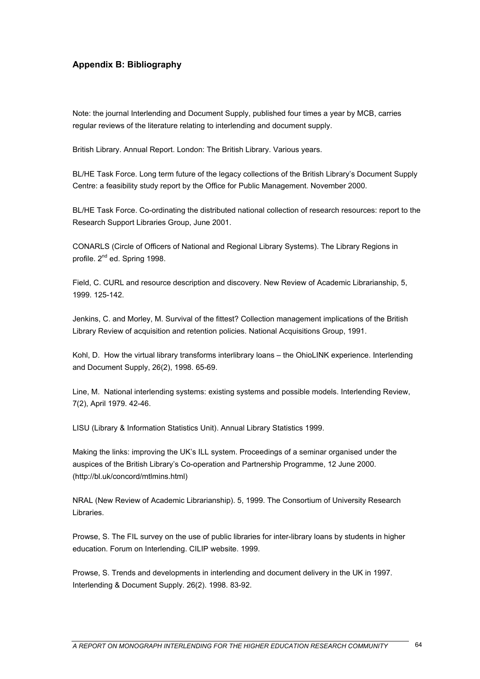# **Appendix B: Bibliography**

Note: the journal Interlending and Document Supply, published four times a year by MCB, carries regular reviews of the literature relating to interlending and document supply.

British Library. Annual Report. London: The British Library. Various years.

BL/HE Task Force. Long term future of the legacy collections of the British Library's Document Supply Centre: a feasibility study report by the Office for Public Management. November 2000.

BL/HE Task Force. Co-ordinating the distributed national collection of research resources: report to the Research Support Libraries Group, June 2001.

CONARLS (Circle of Officers of National and Regional Library Systems). The Library Regions in profile. 2<sup>nd</sup> ed. Spring 1998.

Field, C. CURL and resource description and discovery. New Review of Academic Librarianship, 5, 1999. 125-142.

Jenkins, C. and Morley, M. Survival of the fittest? Collection management implications of the British Library Review of acquisition and retention policies. National Acquisitions Group, 1991.

Kohl, D. How the virtual library transforms interlibrary loans – the OhioLINK experience. Interlending and Document Supply, 26(2), 1998. 65-69.

Line, M. National interlending systems: existing systems and possible models. Interlending Review, 7(2), April 1979. 42-46.

LISU (Library & Information Statistics Unit). Annual Library Statistics 1999.

Making the links: improving the UK's ILL system. Proceedings of a seminar organised under the auspices of the British Library's Co-operation and Partnership Programme, 12 June 2000. (http://bl.uk/concord/mtlmins.html)

NRAL (New Review of Academic Librarianship). 5, 1999. The Consortium of University Research Libraries.

Prowse, S. The FIL survey on the use of public libraries for inter-library loans by students in higher education. Forum on Interlending. CILIP website. 1999.

Prowse, S. Trends and developments in interlending and document delivery in the UK in 1997. Interlending & Document Supply. 26(2). 1998. 83-92.